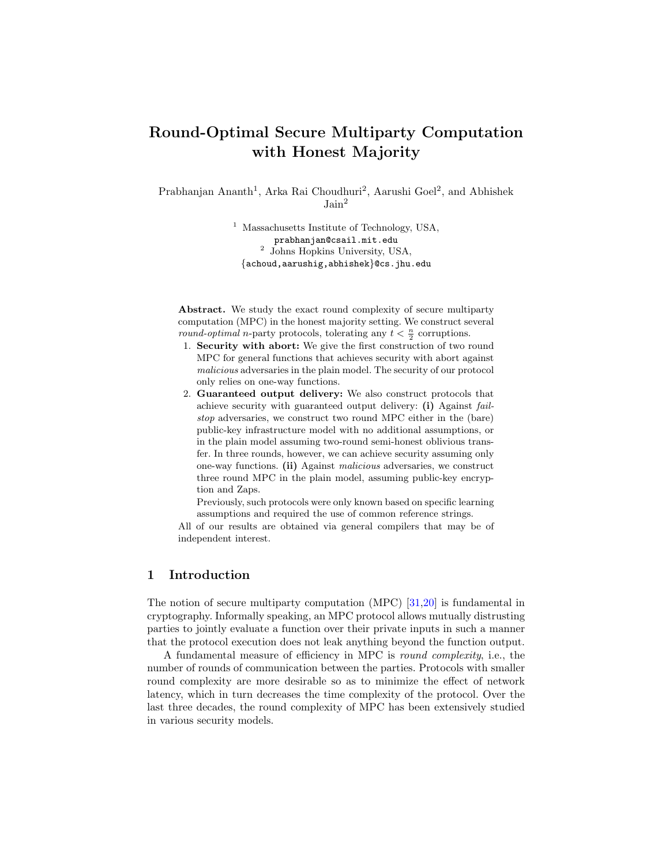# Round-Optimal Secure Multiparty Computation with Honest Majority

Prabhanjan Ananth<sup>1</sup>, Arka Rai Choudhuri<sup>2</sup>, Aarushi Goel<sup>2</sup>, and Abhishek Jain<sup>2</sup>

> <sup>1</sup> Massachusetts Institute of Technology, USA, prabhanjan@csail.mit.edu 2 Johns Hopkins University, USA, {achoud,aarushig,abhishek}@cs.jhu.edu

Abstract. We study the exact round complexity of secure multiparty computation (MPC) in the honest majority setting. We construct several round-optimal n-party protocols, tolerating any  $t < \frac{n}{2}$  corruptions.

- 1. Security with abort: We give the first construction of two round MPC for general functions that achieves security with abort against malicious adversaries in the plain model. The security of our protocol only relies on one-way functions.
- 2. Guaranteed output delivery: We also construct protocols that achieve security with guaranteed output delivery: (i) Against failstop adversaries, we construct two round MPC either in the (bare) public-key infrastructure model with no additional assumptions, or in the plain model assuming two-round semi-honest oblivious transfer. In three rounds, however, we can achieve security assuming only one-way functions. (ii) Against malicious adversaries, we construct three round MPC in the plain model, assuming public-key encryption and Zaps.

Previously, such protocols were only known based on specific learning assumptions and required the use of common reference strings.

All of our results are obtained via general compilers that may be of independent interest.

## 1 Introduction

The notion of secure multiparty computation (MPC) [\[31,](#page-29-0)[20\]](#page-29-1) is fundamental in cryptography. Informally speaking, an MPC protocol allows mutually distrusting parties to jointly evaluate a function over their private inputs in such a manner that the protocol execution does not leak anything beyond the function output.

A fundamental measure of efficiency in MPC is round complexity, i.e., the number of rounds of communication between the parties. Protocols with smaller round complexity are more desirable so as to minimize the effect of network latency, which in turn decreases the time complexity of the protocol. Over the last three decades, the round complexity of MPC has been extensively studied in various security models.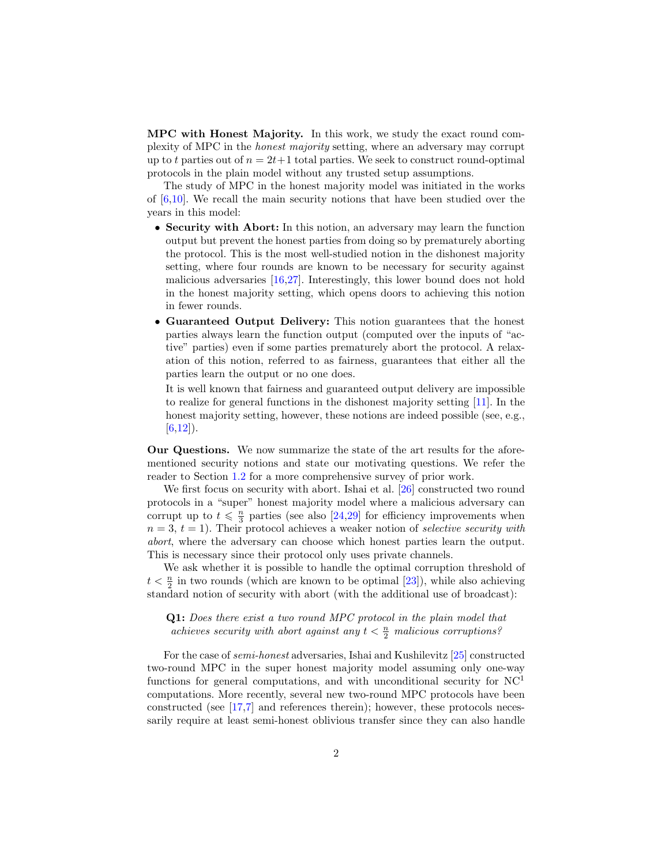MPC with Honest Majority. In this work, we study the exact round complexity of MPC in the honest majority setting, where an adversary may corrupt up to t parties out of  $n = 2t+1$  total parties. We seek to construct round-optimal protocols in the plain model without any trusted setup assumptions.

The study of MPC in the honest majority model was initiated in the works of [\[6,](#page-28-0)[10\]](#page-28-1). We recall the main security notions that have been studied over the years in this model:

- Security with Abort: In this notion, an adversary may learn the function output but prevent the honest parties from doing so by prematurely aborting the protocol. This is the most well-studied notion in the dishonest majority setting, where four rounds are known to be necessary for security against malicious adversaries [\[16](#page-28-2)[,27\]](#page-29-2). Interestingly, this lower bound does not hold in the honest majority setting, which opens doors to achieving this notion in fewer rounds.
- Guaranteed Output Delivery: This notion guarantees that the honest parties always learn the function output (computed over the inputs of "active" parties) even if some parties prematurely abort the protocol. A relaxation of this notion, referred to as fairness, guarantees that either all the parties learn the output or no one does.

It is well known that fairness and guaranteed output delivery are impossible to realize for general functions in the dishonest majority setting [\[11\]](#page-28-3). In the honest majority setting, however, these notions are indeed possible (see, e.g.,  $[6,12]$  $[6,12]$ ).

Our Questions. We now summarize the state of the art results for the aforementioned security notions and state our motivating questions. We refer the reader to Section [1.2](#page-5-0) for a more comprehensive survey of prior work.

We first focus on security with abort. Ishai et al. [\[26\]](#page-29-3) constructed two round protocols in a "super" honest majority model where a malicious adversary can corrupt up to  $t \leq \frac{n}{3}$  parties (see also [\[24,](#page-29-4)[29\]](#page-29-5) for efficiency improvements when  $n = 3, t = 1$ . Their protocol achieves a weaker notion of selective security with abort, where the adversary can choose which honest parties learn the output. This is necessary since their protocol only uses private channels.

We ask whether it is possible to handle the optimal corruption threshold of  $t < \frac{n}{2}$  in two rounds (which are known to be optimal [\[23\]](#page-29-6)), while also achieving standard notion of security with abort (with the additional use of broadcast):

Q1: Does there exist a two round MPC protocol in the plain model that achieves security with abort against any  $t < \frac{n}{2}$  malicious corruptions?

For the case of semi-honest adversaries, Ishai and Kushilevitz [\[25\]](#page-29-7) constructed two-round MPC in the super honest majority model assuming only one-way functions for general computations, and with unconditional security for  $NC<sup>1</sup>$ computations. More recently, several new two-round MPC protocols have been constructed (see [\[17](#page-28-5)[,7\]](#page-28-6) and references therein); however, these protocols necessarily require at least semi-honest oblivious transfer since they can also handle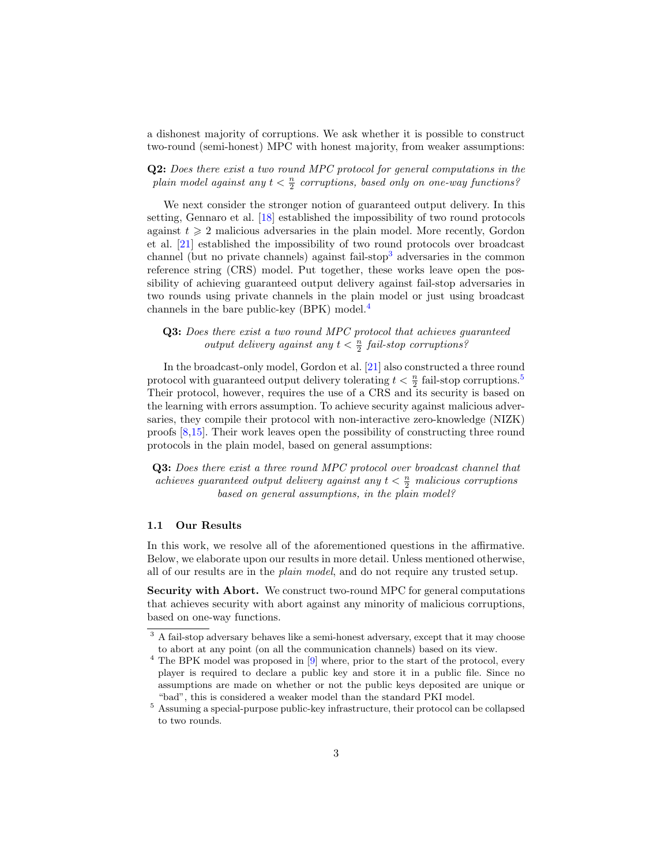a dishonest majority of corruptions. We ask whether it is possible to construct two-round (semi-honest) MPC with honest majority, from weaker assumptions:

Q2: Does there exist a two round MPC protocol for general computations in the plain model against any  $t < \frac{n}{2}$  corruptions, based only on one-way functions?

We next consider the stronger notion of guaranteed output delivery. In this setting, Gennaro et al. [\[18\]](#page-28-7) established the impossibility of two round protocols against  $t \geqslant 2$  malicious adversaries in the plain model. More recently, Gordon et al. [\[21\]](#page-29-8) established the impossibility of two round protocols over broadcast channel (but no private channels) against fail-stop<sup>[3](#page-2-0)</sup> adversaries in the common reference string (CRS) model. Put together, these works leave open the possibility of achieving guaranteed output delivery against fail-stop adversaries in two rounds using private channels in the plain model or just using broadcast channels in the bare public-key (BPK) model.[4](#page-2-1)

Q3: Does there exist a two round MPC protocol that achieves guaranteed output delivery against any  $t < \frac{n}{2}$  fail-stop corruptions?

In the broadcast-only model, Gordon et al. [\[21\]](#page-29-8) also constructed a three round protocol with guaranteed output delivery tolerating  $t < \frac{n}{2}$  fail-stop corruptions.<sup>[5](#page-2-2)</sup> Their protocol, however, requires the use of a CRS and its security is based on the learning with errors assumption. To achieve security against malicious adversaries, they compile their protocol with non-interactive zero-knowledge (NIZK) proofs [\[8](#page-28-8)[,15\]](#page-28-9). Their work leaves open the possibility of constructing three round protocols in the plain model, based on general assumptions:

Q3: Does there exist a three round MPC protocol over broadcast channel that achieves guaranteed output delivery against any  $t < \frac{n}{2}$  malicious corruptions based on general assumptions, in the plain model?

### 1.1 Our Results

In this work, we resolve all of the aforementioned questions in the affirmative. Below, we elaborate upon our results in more detail. Unless mentioned otherwise, all of our results are in the plain model, and do not require any trusted setup.

Security with Abort. We construct two-round MPC for general computations that achieves security with abort against any minority of malicious corruptions, based on one-way functions.

<span id="page-2-3"></span><span id="page-2-0"></span><sup>&</sup>lt;sup>3</sup> A fail-stop adversary behaves like a semi-honest adversary, except that it may choose to abort at any point (on all the communication channels) based on its view.

<span id="page-2-1"></span><sup>&</sup>lt;sup>4</sup> The BPK model was proposed in [\[9\]](#page-28-10) where, prior to the start of the protocol, every player is required to declare a public key and store it in a public file. Since no assumptions are made on whether or not the public keys deposited are unique or "bad", this is considered a weaker model than the standard PKI model.

<span id="page-2-2"></span><sup>5</sup> Assuming a special-purpose public-key infrastructure, their protocol can be collapsed to two rounds.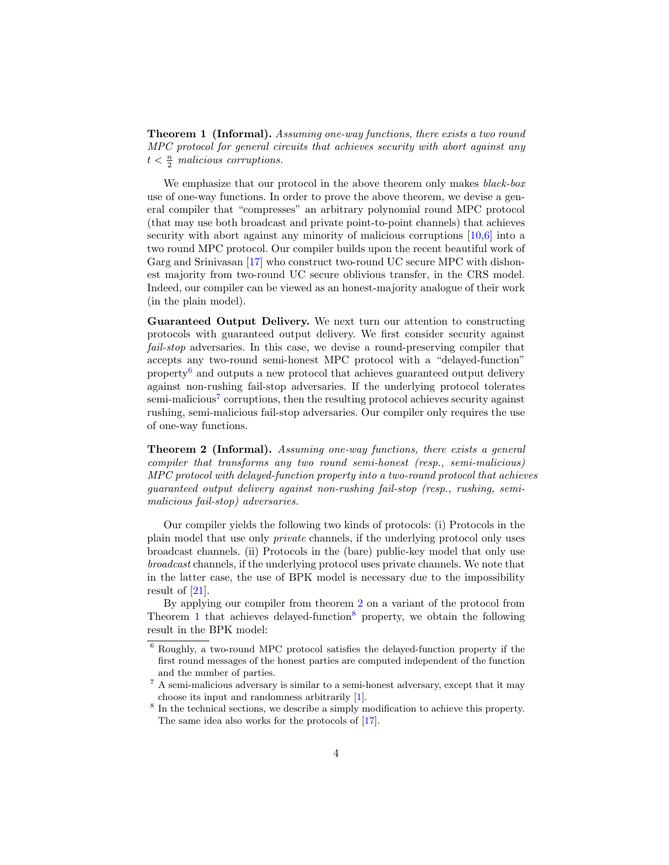Theorem 1 (Informal). Assuming one-way functions, there exists a two round MPC protocol for general circuits that achieves security with abort against any  $t < \frac{n}{2}$  malicious corruptions.

We emphasize that our protocol in the above theorem only makes black-box use of one-way functions. In order to prove the above theorem, we devise a general compiler that "compresses" an arbitrary polynomial round MPC protocol (that may use both broadcast and private point-to-point channels) that achieves security with abort against any minority of malicious corruptions [\[10](#page-28-1)[,6\]](#page-28-0) into a two round MPC protocol. Our compiler builds upon the recent beautiful work of Garg and Srinivasan [\[17\]](#page-28-5) who construct two-round UC secure MPC with dishonest majority from two-round UC secure oblivious transfer, in the CRS model. Indeed, our compiler can be viewed as an honest-majority analogue of their work (in the plain model).

Guaranteed Output Delivery. We next turn our attention to constructing protocols with guaranteed output delivery. We first consider security against fail-stop adversaries. In this case, we devise a round-preserving compiler that accepts any two-round semi-honest MPC protocol with a "delayed-function" property[6](#page-3-0) and outputs a new protocol that achieves guaranteed output delivery against non-rushing fail-stop adversaries. If the underlying protocol tolerates semi-malicious<sup>[7](#page-3-1)</sup> corruptions, then the resulting protocol achieves security against rushing, semi-malicious fail-stop adversaries. Our compiler only requires the use of one-way functions.

<span id="page-3-2"></span>Theorem 2 (Informal). Assuming one-way functions, there exists a general compiler that transforms any two round semi-honest (resp., semi-malicious) MPC protocol with delayed-function property into a two-round protocol that achieves guaranteed output delivery against non-rushing fail-stop (resp., rushing, semimalicious fail-stop) adversaries.

Our compiler yields the following two kinds of protocols: (i) Protocols in the plain model that use only private channels, if the underlying protocol only uses broadcast channels. (ii) Protocols in the (bare) public-key model that only use broadcast channels, if the underlying protocol uses private channels. We note that in the latter case, the use of BPK model is necessary due to the impossibility result of [\[21\]](#page-29-8).

By applying our compiler from theorem [2](#page-3-2) on a variant of the protocol from Theorem [1](#page-2-3) that achieves delayed-function<sup>[8](#page-3-3)</sup> property, we obtain the following result in the BPK model:

<span id="page-3-4"></span><span id="page-3-0"></span><sup>6</sup> Roughly, a two-round MPC protocol satisfies the delayed-function property if the first round messages of the honest parties are computed independent of the function and the number of parties.

<span id="page-3-1"></span> $^7$  A semi-malicious adversary is similar to a semi-honest adversary, except that it may choose its input and randomness arbitrarily [\[1\]](#page-27-0).

<span id="page-3-3"></span><sup>&</sup>lt;sup>8</sup> In the technical sections, we describe a simply modification to achieve this property. The same idea also works for the protocols of [\[17\]](#page-28-5).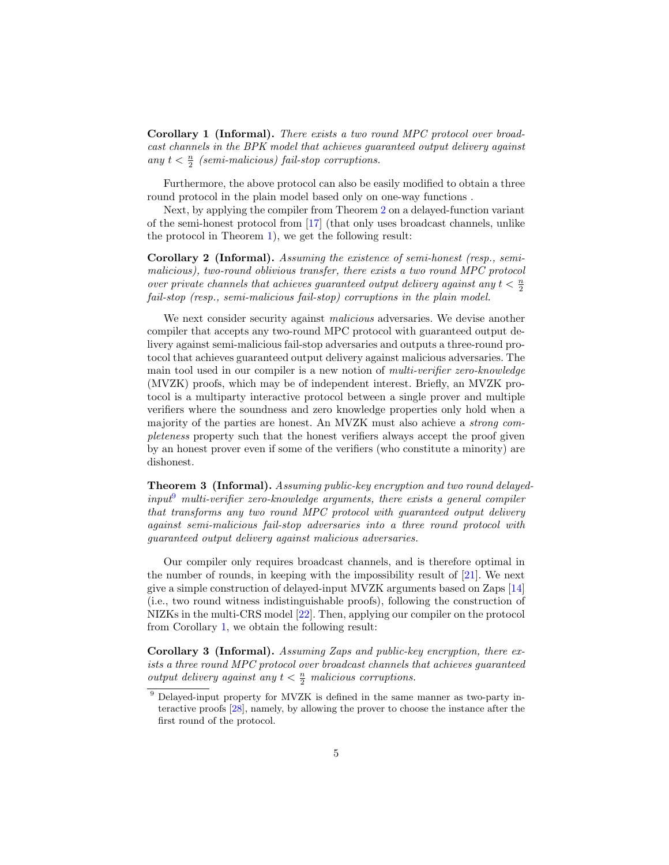Corollary 1 (Informal). There exists a two round MPC protocol over broadcast channels in the BPK model that achieves guaranteed output delivery against any  $t < \frac{n}{2}$  (semi-malicious) fail-stop corruptions.

Furthermore, the above protocol can also be easily modified to obtain a three round protocol in the plain model based only on one-way functions .

Next, by applying the compiler from Theorem [2](#page-3-2) on a delayed-function variant of the semi-honest protocol from [\[17\]](#page-28-5) (that only uses broadcast channels, unlike the protocol in Theorem [1\)](#page-2-3), we get the following result:

Corollary 2 (Informal). Assuming the existence of semi-honest (resp., semimalicious), two-round oblivious transfer, there exists a two round MPC protocol over private channels that achieves guaranteed output delivery against any  $t < \frac{n}{2}$ fail-stop (resp., semi-malicious fail-stop) corruptions in the plain model.

We next consider security against *malicious* adversaries. We devise another compiler that accepts any two-round MPC protocol with guaranteed output delivery against semi-malicious fail-stop adversaries and outputs a three-round protocol that achieves guaranteed output delivery against malicious adversaries. The main tool used in our compiler is a new notion of multi-verifier zero-knowledge (MVZK) proofs, which may be of independent interest. Briefly, an MVZK protocol is a multiparty interactive protocol between a single prover and multiple verifiers where the soundness and zero knowledge properties only hold when a majority of the parties are honest. An MVZK must also achieve a strong completeness property such that the honest verifiers always accept the proof given by an honest prover even if some of the verifiers (who constitute a minority) are dishonest.

Theorem 3 (Informal). Assuming public-key encryption and two round delayed-input<sup>[9](#page-4-0)</sup> multi-verifier zero-knowledge arguments, there exists a general compiler that transforms any two round MPC protocol with guaranteed output delivery against semi-malicious fail-stop adversaries into a three round protocol with guaranteed output delivery against malicious adversaries.

Our compiler only requires broadcast channels, and is therefore optimal in the number of rounds, in keeping with the impossibility result of [\[21\]](#page-29-8). We next give a simple construction of delayed-input MVZK arguments based on Zaps [\[14\]](#page-28-11) (i.e., two round witness indistinguishable proofs), following the construction of NIZKs in the multi-CRS model [\[22\]](#page-29-9). Then, applying our compiler on the protocol from Corollary [1,](#page-3-4) we obtain the following result:

Corollary 3 (Informal). Assuming Zaps and public-key encryption, there exists a three round MPC protocol over broadcast channels that achieves guaranteed output delivery against any  $t < \frac{n}{2}$  malicious corruptions.

<span id="page-4-0"></span><sup>&</sup>lt;sup>9</sup> Delayed-input property for MVZK is defined in the same manner as two-party interactive proofs [\[28\]](#page-29-10), namely, by allowing the prover to choose the instance after the first round of the protocol.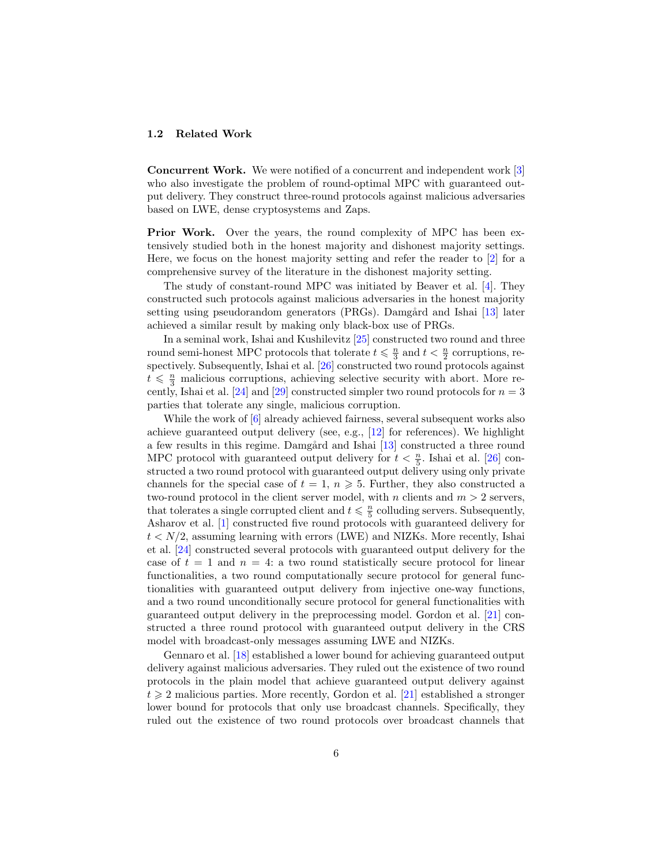### <span id="page-5-0"></span>1.2 Related Work

Concurrent Work. We were notified of a concurrent and independent work [\[3\]](#page-28-12) who also investigate the problem of round-optimal MPC with guaranteed output delivery. They construct three-round protocols against malicious adversaries based on LWE, dense cryptosystems and Zaps.

Prior Work. Over the years, the round complexity of MPC has been extensively studied both in the honest majority and dishonest majority settings. Here, we focus on the honest majority setting and refer the reader to [\[2\]](#page-28-13) for a comprehensive survey of the literature in the dishonest majority setting.

The study of constant-round MPC was initiated by Beaver et al. [\[4\]](#page-28-14). They constructed such protocols against malicious adversaries in the honest majority setting using pseudorandom generators (PRGs). Damgård and Ishai [\[13\]](#page-28-15) later achieved a similar result by making only black-box use of PRGs.

In a seminal work, Ishai and Kushilevitz [\[25\]](#page-29-7) constructed two round and three round semi-honest MPC protocols that tolerate  $t \leqslant \frac{n}{3}$  and  $t < \frac{n}{2}$  corruptions, respectively. Subsequently, Ishai et al. [\[26\]](#page-29-3) constructed two round protocols against  $t\,\leqslant\,\frac{n}{3}$  malicious corruptions, achieving selective security with abort. More re-cently, Ishai et al. [\[24\]](#page-29-4) and [\[29\]](#page-29-5) constructed simpler two round protocols for  $n = 3$ parties that tolerate any single, malicious corruption.

While the work of  $[6]$  already achieved fairness, several subsequent works also achieve guaranteed output delivery (see, e.g., [\[12\]](#page-28-4) for references). We highlight a few results in this regime. Damgård and Ishai [\[13\]](#page-28-15) constructed a three round MPC protocol with guaranteed output delivery for  $t < \frac{n}{5}$ . Ishai et al. [\[26\]](#page-29-3) constructed a two round protocol with guaranteed output delivery using only private channels for the special case of  $t = 1$ ,  $n \ge 5$ . Further, they also constructed a two-round protocol in the client server model, with n clients and  $m > 2$  servers, that tolerates a single corrupted client and  $t \leq \frac{n}{5}$  colluding servers. Subsequently, Asharov et al. [\[1\]](#page-27-0) constructed five round protocols with guaranteed delivery for  $t < N/2$ , assuming learning with errors (LWE) and NIZKs. More recently, Ishai et al. [\[24\]](#page-29-4) constructed several protocols with guaranteed output delivery for the case of  $t = 1$  and  $n = 4$ : a two round statistically secure protocol for linear functionalities, a two round computationally secure protocol for general functionalities with guaranteed output delivery from injective one-way functions, and a two round unconditionally secure protocol for general functionalities with guaranteed output delivery in the preprocessing model. Gordon et al. [\[21\]](#page-29-8) constructed a three round protocol with guaranteed output delivery in the CRS model with broadcast-only messages assuming LWE and NIZKs.

Gennaro et al. [\[18\]](#page-28-7) established a lower bound for achieving guaranteed output delivery against malicious adversaries. They ruled out the existence of two round protocols in the plain model that achieve guaranteed output delivery against  $t \geqslant 2$  malicious parties. More recently, Gordon et al. [\[21\]](#page-29-8) established a stronger lower bound for protocols that only use broadcast channels. Specifically, they ruled out the existence of two round protocols over broadcast channels that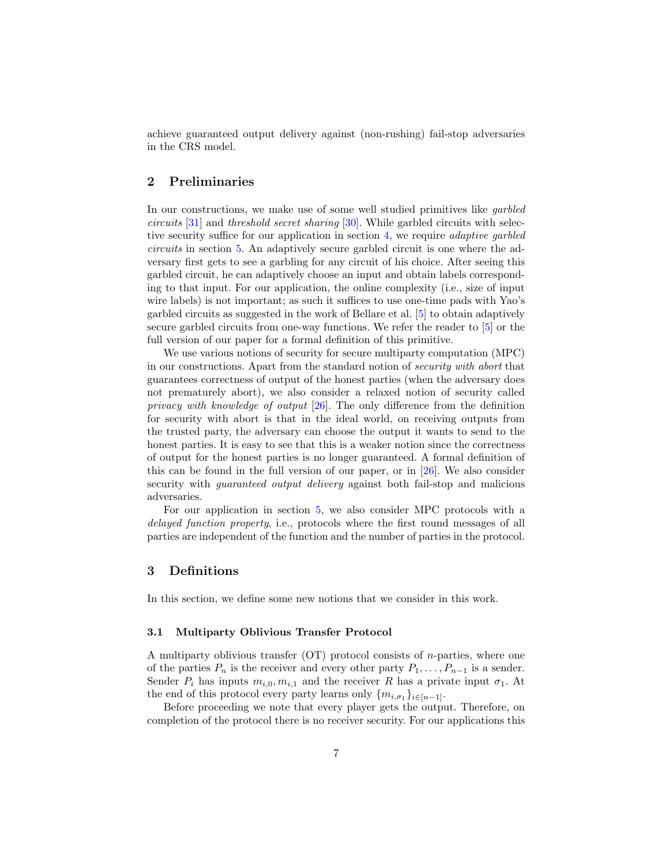achieve guaranteed output delivery against (non-rushing) fail-stop adversaries in the CRS model.

## <span id="page-6-0"></span>2 Preliminaries

In our constructions, we make use of some well studied primitives like *garbled* circuits [\[31\]](#page-29-0) and threshold secret sharing [\[30\]](#page-29-11). While garbled circuits with selective security suffice for our application in section [4,](#page-10-0) we require adaptive garbled circuits in section [5.](#page-20-0) An adaptively secure garbled circuit is one where the adversary first gets to see a garbling for any circuit of his choice. After seeing this garbled circuit, he can adaptively choose an input and obtain labels corresponding to that input. For our application, the online complexity (i.e., size of input wire labels) is not important; as such it suffices to use one-time pads with Yao's garbled circuits as suggested in the work of Bellare et al. [\[5\]](#page-28-16) to obtain adaptively secure garbled circuits from one-way functions. We refer the reader to [\[5\]](#page-28-16) or the full version of our paper for a formal definition of this primitive.

We use various notions of security for secure multiparty computation (MPC) in our constructions. Apart from the standard notion of security with abort that guarantees correctness of output of the honest parties (when the adversary does not prematurely abort), we also consider a relaxed notion of security called privacy with knowledge of output [\[26\]](#page-29-3). The only difference from the definition for security with abort is that in the ideal world, on receiving outputs from the trusted party, the adversary can choose the output it wants to send to the honest parties. It is easy to see that this is a weaker notion since the correctness of output for the honest parties is no longer guaranteed. A formal definition of this can be found in the full version of our paper, or in [\[26\]](#page-29-3). We also consider security with *quaranteed output delivery* against both fail-stop and malicious adversaries.

For our application in section [5,](#page-20-0) we also consider MPC protocols with a delayed function property, i.e., protocols where the first round messages of all parties are independent of the function and the number of parties in the protocol.

## 3 Definitions

In this section, we define some new notions that we consider in this work.

### 3.1 Multiparty Oblivious Transfer Protocol

A multiparty oblivious transfer (OT) protocol consists of n-parties, where one of the parties  $P_n$  is the receiver and every other party  $P_1, \ldots, P_{n-1}$  is a sender. Sender  $P_i$  has inputs  $m_{i,0}, m_{i,1}$  and the receiver R has a private input  $\sigma_1$ . At the end of this protocol every party learns only  $\{m_{i,\sigma_1}\}_{i\in[n-1]}$ .

Before proceeding we note that every player gets the output. Therefore, on completion of the protocol there is no receiver security. For our applications this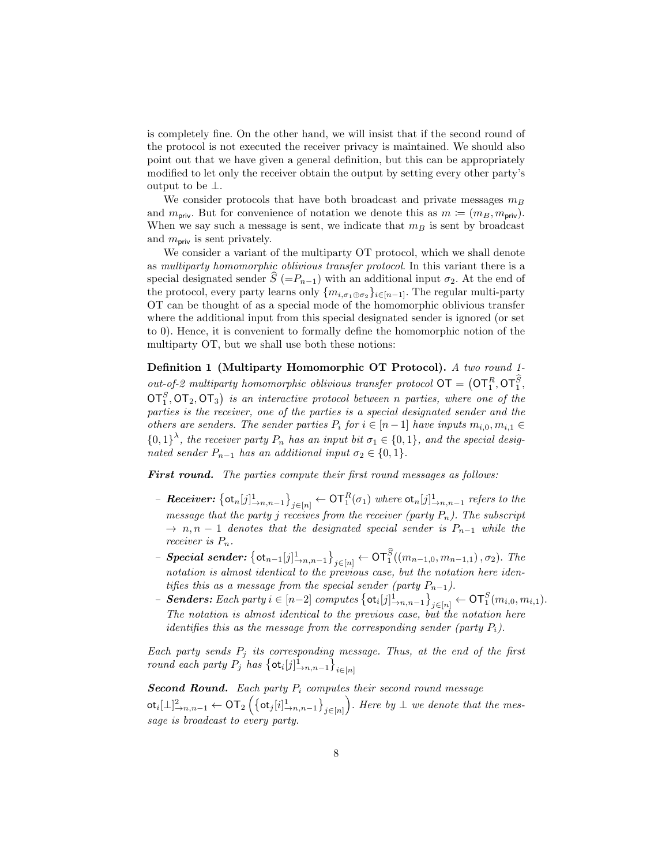is completely fine. On the other hand, we will insist that if the second round of the protocol is not executed the receiver privacy is maintained. We should also point out that we have given a general definition, but this can be appropriately modified to let only the receiver obtain the output by setting every other party's output to be  $\perp$ .

We consider protocols that have both broadcast and private messages  $m_B$ and  $m_{\text{priv}}$ . But for convenience of notation we denote this as  $m := (m_B, m_{\text{priv}})$ . When we say such a message is sent, we indicate that  $m_B$  is sent by broadcast and  $m_{\text{priv}}$  is sent privately.

We consider a variant of the multiparty OT protocol, which we shall denote as multiparty homomorphic oblivious transfer protocol. In this variant there is a special designated sender  $\widehat{S}$  (= $P_{n-1}$ ) with an additional input  $\sigma_2$ . At the end of the protocol, every party learns only  ${m_{i,\sigma_1 \oplus \sigma_2}}_{i \in [n-1]}$ . The regular multi-party OT can be thought of as a special mode of the homomorphic oblivious transfer where the additional input from this special designated sender is ignored (or set to 0). Hence, it is convenient to formally define the homomorphic notion of the multiparty OT, but we shall use both these notions:

Definition 1 (Multiparty Homomorphic OT Protocol). A two round 1 out-of-2 multiparty homomorphic oblivious transfer protocol  $\mathsf{OT} = (\mathsf{OT}_1^R, \mathsf{OT}_1^S,$  $\mathsf{OT}_1^S,\mathsf{OT}_2,\mathsf{OT}_3)$  is an interactive protocol between n parties, where one of the parties is the receiver, one of the parties is a special designated sender and the others are senders. The sender parties  $P_i$  for  $i \in [n-1]$  have inputs  $m_{i,0}, m_{i,1} \in$  ${0,1}^{\lambda}$ , the receiver party  $P_n$  has an input bit  $\sigma_1 \in \{0,1\}$ , and the special designated sender  $P_{n-1}$  has an additional input  $\sigma_2 \in \{0, 1\}.$ 

First round. The parties compute their first round messages as follows:

- $-\textit{Receiver: } \big\{\textup{ot}_n[j]\frac{1}{n},n-1\big\}_{j\in[n]} \leftarrow \textup{OT}_1^R(\sigma_1) \textit{ where } \textup{ot}_n[j]\frac{1}{n},n-1 \textit{ refers to the } n\textit{ times}$ message that the party j receives from the receiver (party  $P_n$ ). The subscript  $\rightarrow$  n, n − 1 denotes that the designated special sender is  $P_{n-1}$  while the receiver is  $P_n$ .
- $-$  Special sender: { ot<sub>n−1</sub>[j]<sup>1</sup><sub>→n,n−1</sub>}<sub>j∈[n]</sub> ← OT<sub>1</sub><sup>5</sup>((m<sub>n−1,0</sub>, m<sub>n−1,1</sub>), σ<sub>2</sub>). The notation is almost identical to the previous case, but the notation here identifies this as a message from the special sender (party  $P_{n-1}$ ).
- **Senders:** Each party  $i \in [n-2]$  computes  $\{\textsf{ot}_i[j]\}$ <sub>→n,n-1</sub> $\}$ <sub>j∈[n]</sub> ←  $\textsf{OT}_1^S(m_{i,0}, m_{i,1})$ . The notation is almost identical to the previous case, but the notation here identifies this as the message from the corresponding sender (party  $P_i$ ).

Each party sends  $P_j$  its corresponding message. Thus, at the end of the first round each party  $P_j$  has  $\{\textsf{ot}_i[j]\}^1_{\to n,n-1}\}_{i\in[n]}$ 

**Second Round.** Each party  $P_i$  computes their second round message  $\mathrm{ot}_i[\perp]_{\to n,n-1}^2 \leftarrow \mathrm{OT}_2\left( \left\{ \mathrm{ot}_j[i]_{\to n,n-1}^1 \right\}_{j\in[n]} \right)$ . Here by  $\perp$  we denote that the message is broadcast to every party.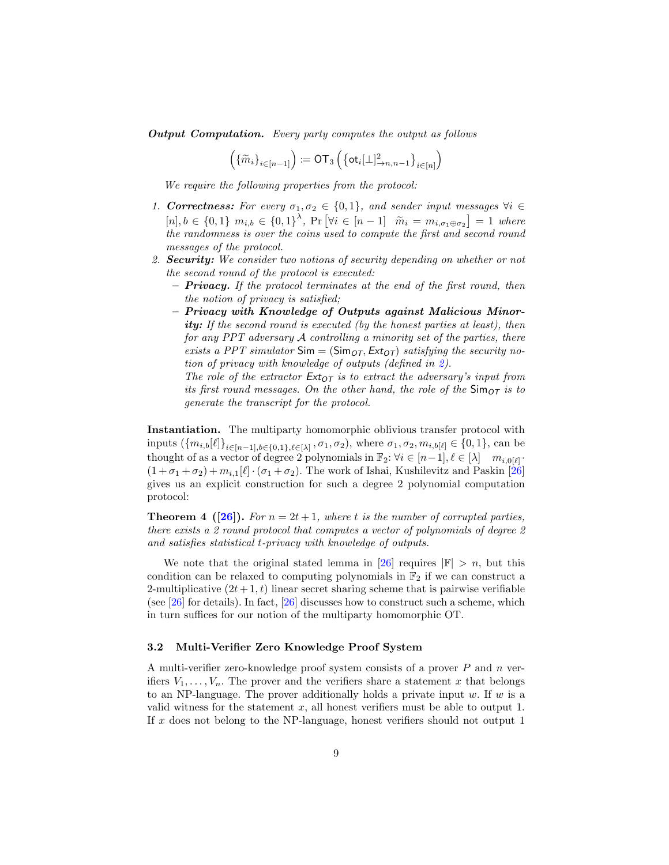Output Computation. Every party computes the output as follows

$$
\left(\left\{\widetilde{m}_i\right\}_{i\in[n-1]}\right)\coloneqq\mathrm{OT}_3\left(\left\{\mathrm{ot}_i[\bot]_{\rightarrow n,n-1}^2\right\}_{i\in[n]}\right)
$$

We require the following properties from the protocol:

- 1. Correctness: For every  $\sigma_1, \sigma_2 \in \{0, 1\}$ , and sender input messages  $\forall i \in$  $[n], b \in \{0,1\}$   $m_{i,b} \in \{0,1\}$ <sup> $\lambda$ </sup>,  $\Pr[\forall i \in [n-1]$   $\widetilde{m}_i = m_{i,\sigma_1 \oplus \sigma_2}] = 1$  where the randomness is over the coins used to compute the first and second round messages of the protocol.
- 2. **Security:** We consider two notions of security depending on whether or not the second round of the protocol is executed:
	- $-$  **Privacy.** If the protocol terminates at the end of the first round, then the notion of privacy is satisfied;
	- Privacy with Knowledge of Outputs against Malicious Minority: If the second round is executed (by the honest parties at least), then for any  $PPT$  adversary  $\mathcal A$  controlling a minority set of the parties, there exists a PPT simulator  $\mathsf{Sim} = (\mathsf{Sim}_{\mathsf{OT}}, \mathsf{Ext}_{\mathsf{OT}})$  satisfying the security notion of privacy with knowledge of outputs (defined in [2\)](#page-6-0).

The role of the extractor  $Ext_{OT}$  is to extract the adversary's input from its first round messages. On the other hand, the role of the  $\mathsf{Sim}_{\mathcal{OT}}$  is to generate the transcript for the protocol.

Instantiation. The multiparty homomorphic oblivious transfer protocol with inputs  $(\{m_{i,b}[\ell]\}_{i \in [n-1], b \in \{0,1\}, \ell \in [\lambda]}, \sigma_1, \sigma_2)$ , where  $\sigma_1, \sigma_2, m_{i,b[\ell]} \in \{0,1\}$ , can be thought of as a vector of degree 2 polynomials in  $\mathbb{F}_2$ :  $\forall i \in [n-1], \ell \in [\lambda]$   $m_{i,0[\ell]}$ .  $(1 + \sigma_1 + \sigma_2) + m_{i,1}[\ell] \cdot (\sigma_1 + \sigma_2)$ . The work of Ishai, Kushilevitz and Paskin [\[26\]](#page-29-3) gives us an explicit construction for such a degree 2 polynomial computation protocol:

**Theorem 4 ([\[26\]](#page-29-3)).** For  $n = 2t + 1$ , where t is the number of corrupted parties, there exists a 2 round protocol that computes a vector of polynomials of degree 2 and satisfies statistical t-privacy with knowledge of outputs.

We note that the original stated lemma in [\[26\]](#page-29-3) requires  $|\mathbb{F}| > n$ , but this condition can be relaxed to computing polynomials in  $\mathbb{F}_2$  if we can construct a 2-multiplicative  $(2t + 1, t)$  linear secret sharing scheme that is pairwise verifiable (see  $[26]$  for details). In fact,  $[26]$  discusses how to construct such a scheme, which in turn suffices for our notion of the multiparty homomorphic OT.

### 3.2 Multi-Verifier Zero Knowledge Proof System

A multi-verifier zero-knowledge proof system consists of a prover  $P$  and  $n$  verifiers  $V_1, \ldots, V_n$ . The prover and the verifiers share a statement x that belongs to an NP-language. The prover additionally holds a private input w. If w is a valid witness for the statement  $x$ , all honest verifiers must be able to output 1. If x does not belong to the NP-language, honest verifiers should not output  $1$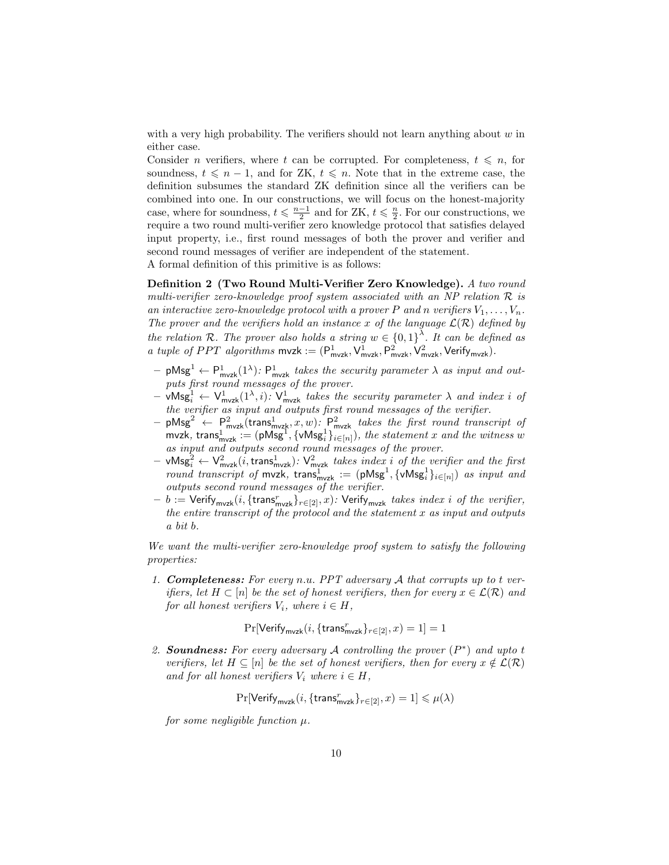with a very high probability. The verifiers should not learn anything about  $w$  in either case.

Consider *n* verifiers, where *t* can be corrupted. For completeness,  $t \leq n$ , for soundness,  $t \leq n - 1$ , and for ZK,  $t \leq n$ . Note that in the extreme case, the definition subsumes the standard ZK definition since all the verifiers can be combined into one. In our constructions, we will focus on the honest-majority case, where for soundness,  $t \leq \frac{n-1}{2}$  and for ZK,  $t \leq \frac{n}{2}$ . For our constructions, we require a two round multi-verifier zero knowledge protocol that satisfies delayed input property, i.e., first round messages of both the prover and verifier and second round messages of verifier are independent of the statement. A formal definition of this primitive is as follows:

Definition 2 (Two Round Multi-Verifier Zero Knowledge). A two round multi-verifier zero-knowledge proof system associated with an NP relation R is an interactive zero-knowledge protocol with a prover P and n verifiers  $V_1, \ldots, V_n$ . The prover and the verifiers hold an instance x of the language  $\mathcal{L}(\mathcal{R})$  defined by the relation R. The prover also holds a string  $w \in \{0,1\}^{\lambda}$ . It can be defined as a tuple of PPT algorithms  $m \vee x = (P^1_{m \vee x}, V^1_{m \vee x}, P^2_{m \vee x}, V^2_{m \vee x}, V^2_{m \vee x})$ .

- $-$  pMsg<sup>1</sup>  $\leftarrow$  P<sub>mvzk</sub>(1<sup> $\lambda$ </sup>): P<sub>mvzk</sub> takes the security parameter  $\lambda$  as input and outputs first round messages of the prover.
- $-$  vMsg<sub>i</sub><sup>1</sup>  $\leftarrow$  V<sub>mvzk</sub> (1<sup>\2</sup>, i): V<sub>mvzk</sub> takes the security parameter  $\lambda$  and index i of the verifier as input and outputs first round messages of the verifier.
- $-$  pMsg<sup>2</sup>  $\leftarrow$  P<sub>mvzk</sub>(trans $_{\text{mvzk}}^{1}$ , x, w): P<sub>mvzk</sub> takes the first round transcript of mvzk, trans $_{\text{mvzk}}^{1} := (\text{pMsg}^1, \{\text{vMsg}^1_i\}_{i \in [n]})$ , the statement x and the witness w as input and outputs second round messages of the prover.
- $-$  vMsg $\frac{1}{i} \leftarrow V_{\sf mvzk}^2(i, {\sf trans}_{\sf mvzk}^1)$ :  $V_{\sf mvzk}^2$  takes index i of the verifier and the first round transcript of mvzk, trans $\frac{1}{2}$  = (pMsg<sup>1</sup>, {vMsg<sub>1</sub>}<sub>i∈[n]</sub>) as input and outputs second round messages of the verifier.
- $-$  b :=  $\mathsf{Verify}_{\mathsf{mvzk}}(i, \{\mathsf{trans}_{\mathsf{mvzk}}^r\}_{r \in [2]}, x)$ :  $\mathsf{Verify}_{\mathsf{mvzk}}$  takes index i of the verifier, the entire transcript of the protocol and the statement x as input and outputs a bit b.

We want the multi-verifier zero-knowledge proof system to satisfy the following properties:

1. **Completeness:** For every n.u. PPT adversary A that corrupts up to t verifiers, let  $H \subset [n]$  be the set of honest verifiers, then for every  $x \in \mathcal{L}(\mathcal{R})$  and for all honest verifiers  $V_i$ , where  $i \in H$ ,

$$
\Pr[\mathsf{Verify}_{\mathsf{mvzk}}(i, \{\mathsf{trans}^r_{\mathsf{mvzk}}\}_{r \in [2]}, x) = 1] = 1
$$

2. **Soundness:** For every adversary A controlling the prover  $(P^*)$  and upto t verifiers, let  $H \subseteq [n]$  be the set of honest verifiers, then for every  $x \notin \mathcal{L}(\mathcal{R})$ and for all honest verifiers  $V_i$  where  $i \in H$ ,

 $\Pr[\mathsf{Verify}_{\mathsf{mvzk}}(i, {\mathsf{trans}}_{\mathsf{mvzk}}^r\}_{r \in [2]}, x) = 1] \leqslant \mu(\lambda)$ 

for some negligible function  $\mu$ .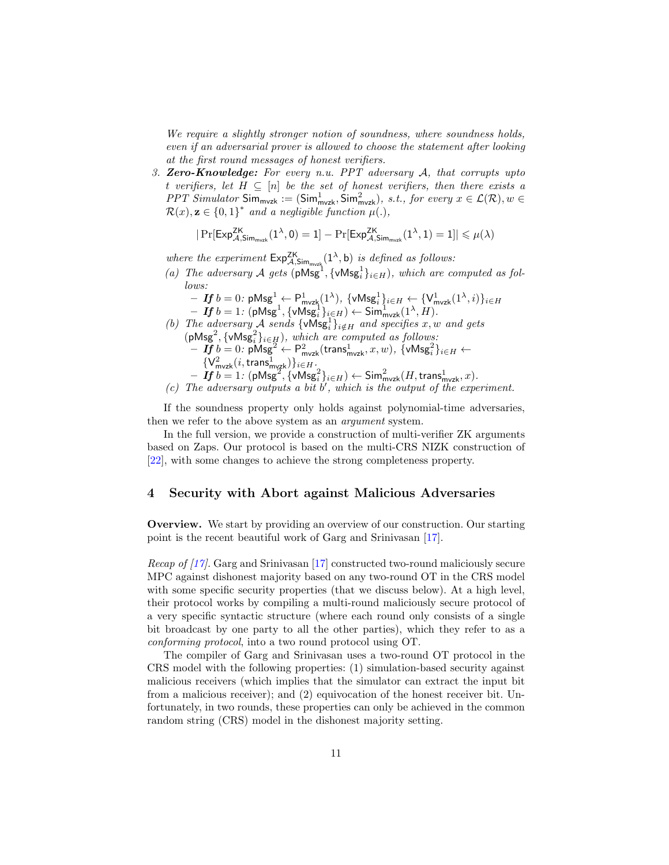We require a slightly stronger notion of soundness, where soundness holds, even if an adversarial prover is allowed to choose the statement after looking at the first round messages of honest verifiers.

3. **Zero-Knowledge:** For every n.u. PPT adversary  $A$ , that corrupts upto t verifiers, let  $H \subseteq [n]$  be the set of honest verifiers, then there exists a  $PPT \; Simulator \; Sim_{\text{mvzk}} := (Sim_{\text{mvzk}}^2, Sim_{\text{mvzk}}^2), \; s.t., \; for \; every \; x \in \mathcal{L}(\mathcal{R}), w \in$  $\mathcal{R}(x), \mathbf{z} \in \{0,1\}^*$  and a negligible function  $\mu(.)$ ,

$$
|\Pr[\mathsf{Exp}_{\mathcal{A},\mathsf{Sim}_{\mathsf{mvzk}} }^{\mathsf{ZK}}(1^{\lambda},0)=1]-\Pr[\mathsf{Exp}_{\mathcal{A},\mathsf{Sim}_{\mathsf{mvzk}} }^{\mathsf{ZK}}(1^{\lambda},1)=1]|\leqslant \mu(\lambda)
$$

where the experiment  $Exp_{\mathcal{A}, \text{Sim}_{\text{mvz}k}}^{\text{ZK}}(1^{\lambda}, \mathsf{b})$  is defined as follows:

(a) The adversary A gets  $(pMsg<sup>1</sup>, {vMsg<sup>1</sup>}_{i \in H})$ , which are computed as fol $lows$ 

\n- \n
$$
- \textbf{If } b = 0 \colon \text{pMsg}^1 \leftarrow \text{P}_{\text{mvzk}}^1(1^{\lambda}), \{ \text{vMsg}_i^1 \}_{i \in H} \leftarrow \{ \text{V}_{\text{mvzk}}^1(1^{\lambda}, i) \}_{i \in H} - \textbf{If } b = 1 \colon (\text{pMsg}^1, \{ \text{vMsg}_i^1 \}_{i \in H}) \leftarrow \text{Sim}_{\text{mvzk}}^1(1^{\lambda}, H).
$$
\n
\n- \n (b) The adversary  $\mathcal A$  sends  $\{ \text{vMsg}_i^1 \}_{i \in H}$  and specifies  $x, w$  and gets  $(\text{pMsg}^2, \{ \text{vMsg}_i^2 \}_{i \in H}),$  which are computed as follows:\n
	\n- \n $- \text{If } b = 0 \colon \text{pMsg}^2 \leftarrow \text{P}_{\text{mvzk}}^2(\text{trans}_{\text{mvzk}}, x, w), \{ \text{vMsg}_i^2 \}_{i \in H} \leftarrow \{ \text{V}_{\text{mvzk}}^2(i, \text{trans}_{\text{mvzk}}) \}_{i \in H}.$ \n
	\n\n
\n

- $-If b = 1$ : (p $Msg^2$ , {v $Msg^2$ }<sub>i∈H</sub>)  $\leftarrow$  Sim $^2_{mvzk}(H, trans^1_{mvzk}, x)$ .
- (c) The adversary outputs a bit  $b'$ , which is the output of the experiment.

If the soundness property only holds against polynomial-time adversaries, then we refer to the above system as an argument system.

In the full version, we provide a construction of multi-verifier ZK arguments based on Zaps. Our protocol is based on the multi-CRS NIZK construction of [\[22\]](#page-29-9), with some changes to achieve the strong completeness property.

## <span id="page-10-0"></span>4 Security with Abort against Malicious Adversaries

Overview. We start by providing an overview of our construction. Our starting point is the recent beautiful work of Garg and Srinivasan [\[17\]](#page-28-5).

Recap of [\[17\]](#page-28-5). Garg and Srinivasan [\[17\]](#page-28-5) constructed two-round maliciously secure MPC against dishonest majority based on any two-round OT in the CRS model with some specific security properties (that we discuss below). At a high level, their protocol works by compiling a multi-round maliciously secure protocol of a very specific syntactic structure (where each round only consists of a single bit broadcast by one party to all the other parties), which they refer to as a conforming protocol, into a two round protocol using OT.

The compiler of Garg and Srinivasan uses a two-round OT protocol in the CRS model with the following properties: (1) simulation-based security against malicious receivers (which implies that the simulator can extract the input bit from a malicious receiver); and (2) equivocation of the honest receiver bit. Unfortunately, in two rounds, these properties can only be achieved in the common random string (CRS) model in the dishonest majority setting.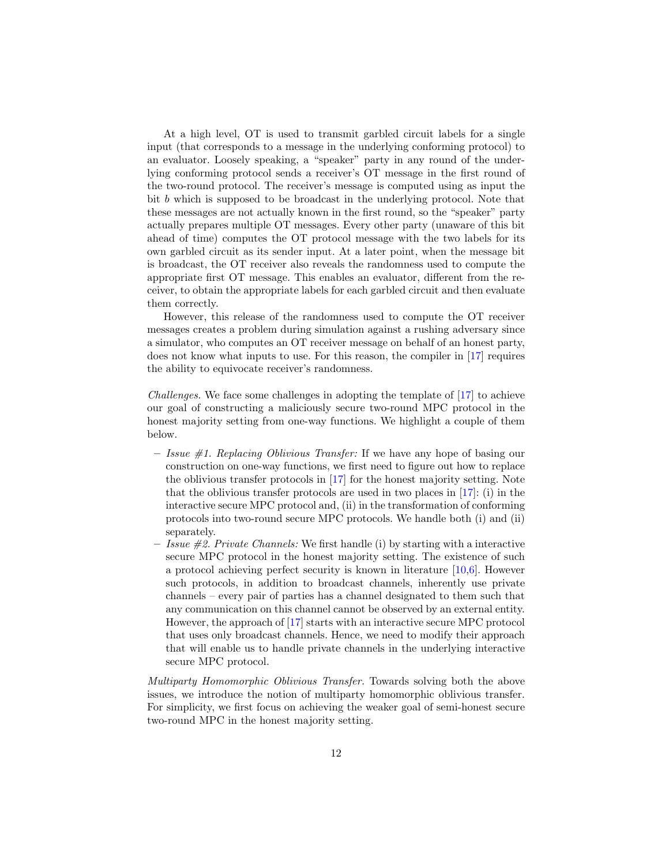At a high level, OT is used to transmit garbled circuit labels for a single input (that corresponds to a message in the underlying conforming protocol) to an evaluator. Loosely speaking, a "speaker" party in any round of the underlying conforming protocol sends a receiver's OT message in the first round of the two-round protocol. The receiver's message is computed using as input the bit b which is supposed to be broadcast in the underlying protocol. Note that these messages are not actually known in the first round, so the "speaker" party actually prepares multiple OT messages. Every other party (unaware of this bit ahead of time) computes the OT protocol message with the two labels for its own garbled circuit as its sender input. At a later point, when the message bit is broadcast, the OT receiver also reveals the randomness used to compute the appropriate first OT message. This enables an evaluator, different from the receiver, to obtain the appropriate labels for each garbled circuit and then evaluate them correctly.

However, this release of the randomness used to compute the OT receiver messages creates a problem during simulation against a rushing adversary since a simulator, who computes an OT receiver message on behalf of an honest party, does not know what inputs to use. For this reason, the compiler in [\[17\]](#page-28-5) requires the ability to equivocate receiver's randomness.

Challenges. We face some challenges in adopting the template of [\[17\]](#page-28-5) to achieve our goal of constructing a maliciously secure two-round MPC protocol in the honest majority setting from one-way functions. We highlight a couple of them below.

- Issue  $\#1$ . Replacing Oblivious Transfer: If we have any hope of basing our construction on one-way functions, we first need to figure out how to replace the oblivious transfer protocols in [\[17\]](#page-28-5) for the honest majority setting. Note that the oblivious transfer protocols are used in two places in  $[17]$ : (i) in the interactive secure MPC protocol and, (ii) in the transformation of conforming protocols into two-round secure MPC protocols. We handle both (i) and (ii) separately.
- *Issue*  $\#2$ *. Private Channels:* We first handle (i) by starting with a interactive secure MPC protocol in the honest majority setting. The existence of such a protocol achieving perfect security is known in literature [\[10,](#page-28-1)[6\]](#page-28-0). However such protocols, in addition to broadcast channels, inherently use private channels – every pair of parties has a channel designated to them such that any communication on this channel cannot be observed by an external entity. However, the approach of [\[17\]](#page-28-5) starts with an interactive secure MPC protocol that uses only broadcast channels. Hence, we need to modify their approach that will enable us to handle private channels in the underlying interactive secure MPC protocol.

Multiparty Homomorphic Oblivious Transfer. Towards solving both the above issues, we introduce the notion of multiparty homomorphic oblivious transfer. For simplicity, we first focus on achieving the weaker goal of semi-honest secure two-round MPC in the honest majority setting.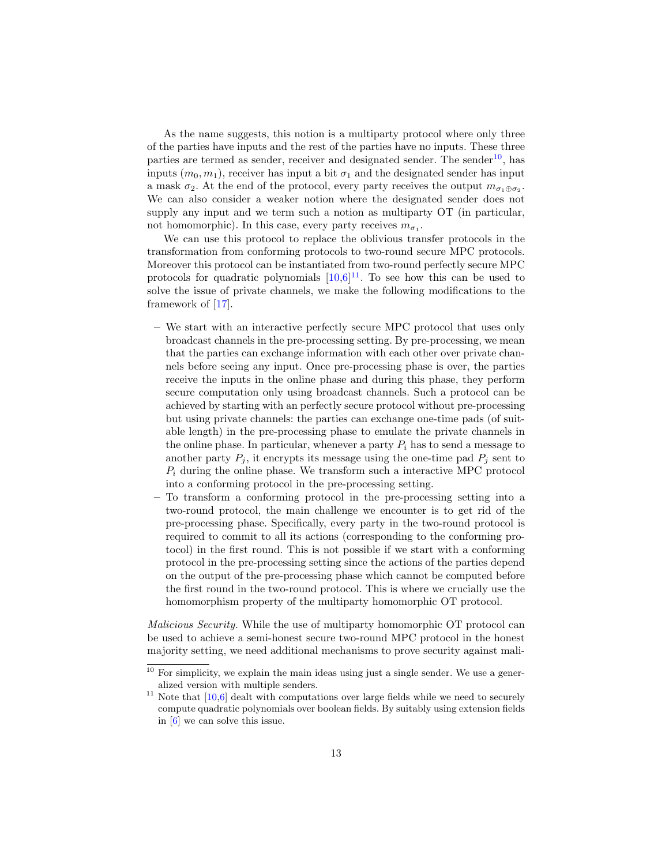As the name suggests, this notion is a multiparty protocol where only three of the parties have inputs and the rest of the parties have no inputs. These three parties are termed as sender, receiver and designated sender. The sender<sup>[10](#page-12-0)</sup>, has inputs  $(m_0, m_1)$ , receiver has input a bit  $\sigma_1$  and the designated sender has input a mask  $\sigma_2$ . At the end of the protocol, every party receives the output  $m_{\sigma_1 \oplus \sigma_2}$ . We can also consider a weaker notion where the designated sender does not supply any input and we term such a notion as multiparty OT (in particular, not homomorphic). In this case, every party receives  $m_{\sigma_1}$ .

We can use this protocol to replace the oblivious transfer protocols in the transformation from conforming protocols to two-round secure MPC protocols. Moreover this protocol can be instantiated from two-round perfectly secure MPC protocols for quadratic polynomials  $[10,6]^{11}$  $[10,6]^{11}$  $[10,6]^{11}$  $[10,6]^{11}$  $[10,6]^{11}$ . To see how this can be used to solve the issue of private channels, we make the following modifications to the framework of [\[17\]](#page-28-5).

- We start with an interactive perfectly secure MPC protocol that uses only broadcast channels in the pre-processing setting. By pre-processing, we mean that the parties can exchange information with each other over private channels before seeing any input. Once pre-processing phase is over, the parties receive the inputs in the online phase and during this phase, they perform secure computation only using broadcast channels. Such a protocol can be achieved by starting with an perfectly secure protocol without pre-processing but using private channels: the parties can exchange one-time pads (of suitable length) in the pre-processing phase to emulate the private channels in the online phase. In particular, whenever a party  $P_i$  has to send a message to another party  $P_j$ , it encrypts its message using the one-time pad  $P_j$  sent to  $P_i$  during the online phase. We transform such a interactive MPC protocol into a conforming protocol in the pre-processing setting.
- To transform a conforming protocol in the pre-processing setting into a two-round protocol, the main challenge we encounter is to get rid of the pre-processing phase. Specifically, every party in the two-round protocol is required to commit to all its actions (corresponding to the conforming protocol) in the first round. This is not possible if we start with a conforming protocol in the pre-processing setting since the actions of the parties depend on the output of the pre-processing phase which cannot be computed before the first round in the two-round protocol. This is where we crucially use the homomorphism property of the multiparty homomorphic OT protocol.

Malicious Security. While the use of multiparty homomorphic OT protocol can be used to achieve a semi-honest secure two-round MPC protocol in the honest majority setting, we need additional mechanisms to prove security against mali-

<span id="page-12-0"></span> $\frac{10}{10}$  For simplicity, we explain the main ideas using just a single sender. We use a generalized version with multiple senders.

<span id="page-12-1"></span> $11$  Note that  $[10,6]$  $[10,6]$  dealt with computations over large fields while we need to securely compute quadratic polynomials over boolean fields. By suitably using extension fields in [\[6\]](#page-28-0) we can solve this issue.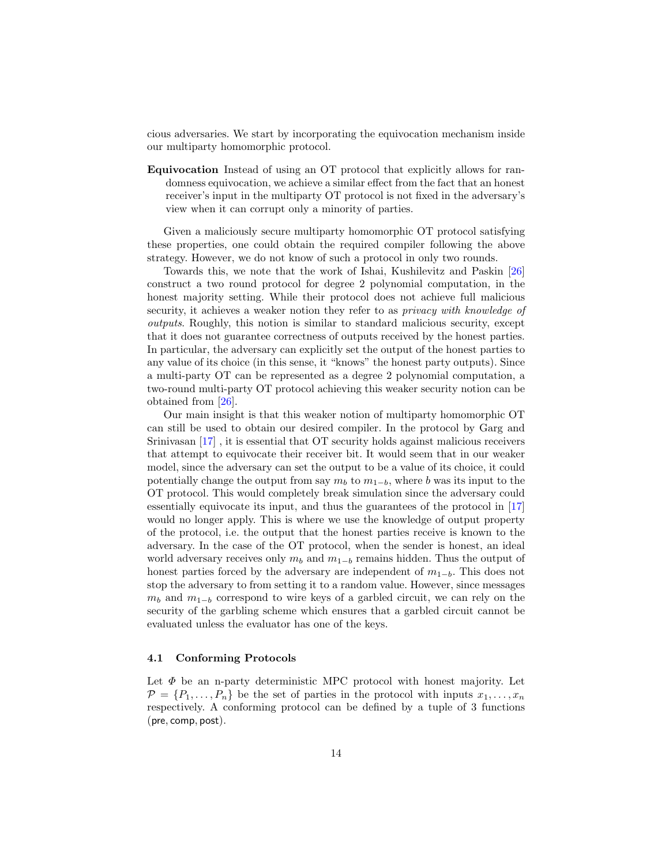cious adversaries. We start by incorporating the equivocation mechanism inside our multiparty homomorphic protocol.

Equivocation Instead of using an OT protocol that explicitly allows for randomness equivocation, we achieve a similar effect from the fact that an honest receiver's input in the multiparty OT protocol is not fixed in the adversary's view when it can corrupt only a minority of parties.

Given a maliciously secure multiparty homomorphic OT protocol satisfying these properties, one could obtain the required compiler following the above strategy. However, we do not know of such a protocol in only two rounds.

Towards this, we note that the work of Ishai, Kushilevitz and Paskin [\[26\]](#page-29-3) construct a two round protocol for degree 2 polynomial computation, in the honest majority setting. While their protocol does not achieve full malicious security, it achieves a weaker notion they refer to as *privacy with knowledge of* outputs. Roughly, this notion is similar to standard malicious security, except that it does not guarantee correctness of outputs received by the honest parties. In particular, the adversary can explicitly set the output of the honest parties to any value of its choice (in this sense, it "knows" the honest party outputs). Since a multi-party OT can be represented as a degree 2 polynomial computation, a two-round multi-party OT protocol achieving this weaker security notion can be obtained from [\[26\]](#page-29-3).

Our main insight is that this weaker notion of multiparty homomorphic OT can still be used to obtain our desired compiler. In the protocol by Garg and Srinivasan [\[17\]](#page-28-5) , it is essential that OT security holds against malicious receivers that attempt to equivocate their receiver bit. It would seem that in our weaker model, since the adversary can set the output to be a value of its choice, it could potentially change the output from say  $m_b$  to  $m_{1-b}$ , where b was its input to the OT protocol. This would completely break simulation since the adversary could essentially equivocate its input, and thus the guarantees of the protocol in [\[17\]](#page-28-5) would no longer apply. This is where we use the knowledge of output property of the protocol, i.e. the output that the honest parties receive is known to the adversary. In the case of the OT protocol, when the sender is honest, an ideal world adversary receives only  $m_b$  and  $m_{1-b}$  remains hidden. Thus the output of honest parties forced by the adversary are independent of  $m_{1-b}$ . This does not stop the adversary to from setting it to a random value. However, since messages  $m_b$  and  $m_{1-b}$  correspond to wire keys of a garbled circuit, we can rely on the security of the garbling scheme which ensures that a garbled circuit cannot be evaluated unless the evaluator has one of the keys.

### <span id="page-13-0"></span>4.1 Conforming Protocols

Let  $\Phi$  be an n-party deterministic MPC protocol with honest majority. Let  $\mathcal{P} = \{P_1, \ldots, P_n\}$  be the set of parties in the protocol with inputs  $x_1, \ldots, x_n$ respectively. A conforming protocol can be defined by a tuple of 3 functions (pre, comp, post).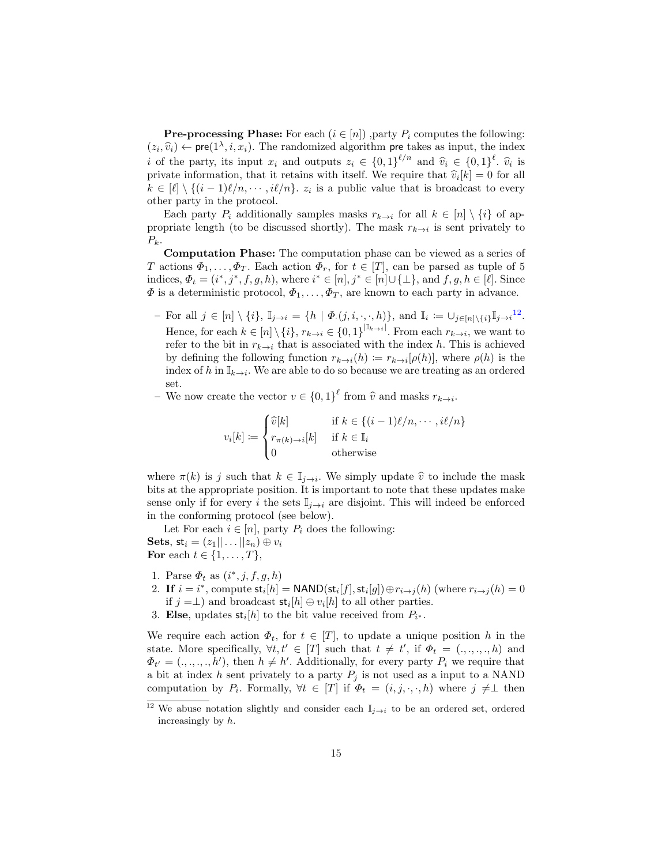**Pre-processing Phase:** For each  $(i \in [n])$ , party  $P_i$  computes the following:  $(z_i, \hat{v}_i) \leftarrow \text{pre}(1^{\lambda}, i, x_i)$ . The randomized algorithm pre takes as input, the index i of the party, its input  $x_i$  and outputs  $z_i \in \{0,1\}^{\ell/n}$  and  $\widehat{v}_i \in \{0,1\}^{\ell}$ .  $\widehat{v}_i$  is<br>private information, that it retains with itself. We require that  $\widehat{x}_i[k] = 0$  for all private information, that it retains with itself. We require that  $\hat{v}_i[k] = 0$  for all  $k \in [\ell] \setminus [(i-1)\ell/n] \rightarrow i\ell/n$ ,  $\hat{v}_i$  is a public value that is broadcast to every  $k \in [\ell] \setminus \{ (i-1)\ell/n, \cdots, i\ell/n \}$ .  $z_i$  is a public value that is broadcast to every other party in the protocol.

Each party  $P_i$  additionally samples masks  $r_{k\to i}$  for all  $k \in [n] \setminus \{i\}$  of appropriate length (to be discussed shortly). The mask  $r_{k\to i}$  is sent privately to  $P_k$ .

Computation Phase: The computation phase can be viewed as a series of T actions  $\Phi_1, \ldots, \Phi_T$ . Each action  $\Phi_r$ , for  $t \in [T]$ , can be parsed as tuple of 5 indices,  $\Phi_t = (i^*, j^*, f, g, h)$ , where  $i^* \in [n], j^* \in [n] \cup \{\perp\}$ , and  $f, g, h \in [\ell]$ . Since  $\Phi$  is a deterministic protocol,  $\Phi_1, \ldots, \Phi_T$ , are known to each party in advance.

- For all  $j \in [n] \setminus \{i\}, \mathbb{I}_{j \to i} = \{h \mid \Phi_{\cdot}(j, i, \cdot, \cdot, h)\}, \text{ and } \mathbb{I}_{i} := \cup_{j \in [n] \setminus \{i\}} \mathbb{I}_{j \to i}^{12}$  $j \in [n] \setminus \{i\}, \mathbb{I}_{j \to i} = \{h \mid \Phi_{\cdot}(j, i, \cdot, \cdot, h)\}, \text{ and } \mathbb{I}_{i} := \cup_{j \in [n] \setminus \{i\}} \mathbb{I}_{j \to i}^{12}$  $j \in [n] \setminus \{i\}, \mathbb{I}_{j \to i} = \{h \mid \Phi_{\cdot}(j, i, \cdot, \cdot, h)\}, \text{ and } \mathbb{I}_{i} := \cup_{j \in [n] \setminus \{i\}} \mathbb{I}_{j \to i}^{12}$ . Hence, for each  $k \in [n] \setminus \{i\}, r_{k \to i} \in \{0,1\}^{\vert\mathbb{I}_{k \to i}\vert}$ . From each  $r_{k \to i}$ , we want to refer to the bit in  $r_{k\to i}$  that is associated with the index h. This is achieved by defining the following function  $r_{k\to i}(h) \coloneqq r_{k\to i}[\rho(h)]$ , where  $\rho(h)$  is the index of h in  $\mathbb{I}_{k\to i}$ . We are able to do so because we are treating as an ordered set.
- We now create the vector  $v \in \{0,1\}^{\ell}$  from  $\widehat{v}$  and masks  $r_{k \to i}$ .

$$
v_i[k] := \begin{cases} \widehat{v}[k] & \text{if } k \in \{(i-1)\ell/n, \cdots, i\ell/n\} \\ r_{\pi(k)\to i}[k] & \text{if } k \in \mathbb{I}_i \\ 0 & \text{otherwise} \end{cases}
$$

where  $\pi(k)$  is j such that  $k \in \mathbb{I}_{j \to i}$ . We simply update  $\hat{v}$  to include the mask<br>bits at the appropriate position It is important to note that these updates make bits at the appropriate position. It is important to note that these updates make sense only if for every i the sets  $\mathbb{I}_{j\to i}$  are disjoint. This will indeed be enforced in the conforming protocol (see below).

Let For each  $i \in [n]$ , party  $P_i$  does the following: Sets, st<sub>i</sub> =  $(z_1|| \dots || z_n) \oplus v_i$ For each  $t \in \{1, \ldots, T\},\$ 

- 1. Parse  $\Phi_t$  as  $(i^*, j, f, g, h)$
- 2. If  $i = i^*$ , compute  $\mathsf{st}_i[h] = \mathsf{NAND}(\mathsf{st}_i[f], \mathsf{st}_i[g]) \oplus r_{i \to j}(h)$  (where  $r_{i \to j}(h) = 0$ if  $j = \perp$ ) and broadcast  $\mathsf{st}_i[h] \oplus v_i[h]$  to all other parties.
- 3. Else, updates  $\mathsf{st}_i[h]$  to the bit value received from  $P_{i^*}.$

We require each action  $\Phi_t$ , for  $t \in [T]$ , to update a unique position h in the state. More specifically,  $\forall t, t' \in [T]$  such that  $t \neq t'$ , if  $\Phi_t = (0, 0, ..., t)$  and  $\Phi_{t'} = (0, \ldots, 0, h')$ , then  $h \neq h'$ . Additionally, for every party  $P_i$  we require that a bit at index h sent privately to a party  $P_i$  is not used as a input to a NAND computation by  $P_i$ . Formally,  $\forall t \in [T]$  if  $\Phi_t = (i, j, \cdot, \cdot, h)$  where  $j \neq \perp$  then

<span id="page-14-0"></span><sup>&</sup>lt;sup>12</sup> We abuse notation slightly and consider each  $\mathbb{I}_{j\to i}$  to be an ordered set, ordered increasingly by h.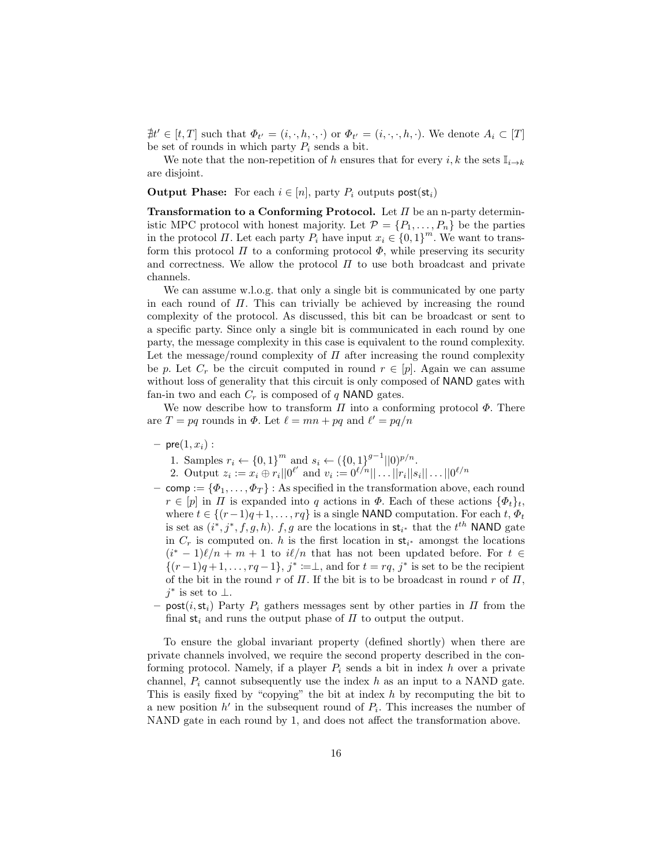$\nexists t' \in [t, T]$  such that  $\Phi_{t'} = (i, \cdot, h, \cdot, \cdot)$  or  $\Phi_{t'} = (i, \cdot, \cdot, h, \cdot)$ . We denote  $A_i \subset [T]$ be set of rounds in which party  $P_i$  sends a bit.

We note that the non-repetition of h ensures that for every i, k the sets  $\mathbb{I}_{i\to k}$ are disjoint.

**Output Phase:** For each  $i \in [n]$ , party  $P_i$  outputs post(st<sub>i</sub>)

**Transformation to a Conforming Protocol.** Let  $\Pi$  be an n-party deterministic MPC protocol with honest majority. Let  $\mathcal{P} = \{P_1, \ldots, P_n\}$  be the parties in the protocol  $\Pi$ . Let each party  $P_i$  have input  $x_i \in \{0,1\}^m$ . We want to transform this protocol  $\Pi$  to a conforming protocol  $\Phi$ , while preserving its security and correctness. We allow the protocol  $\Pi$  to use both broadcast and private channels.

We can assume w.l.o.g. that only a single bit is communicated by one party in each round of  $\Pi$ . This can trivially be achieved by increasing the round complexity of the protocol. As discussed, this bit can be broadcast or sent to a specific party. Since only a single bit is communicated in each round by one party, the message complexity in this case is equivalent to the round complexity. Let the message/round complexity of  $\Pi$  after increasing the round complexity be p. Let  $C_r$  be the circuit computed in round  $r \in [p]$ . Again we can assume without loss of generality that this circuit is only composed of NAND gates with fan-in two and each  $C_r$  is composed of q NAND gates.

We now describe how to transform  $\Pi$  into a conforming protocol  $\Phi$ . There are  $T = pq$  rounds in  $\Phi$ . Let  $\ell = mn + pq$  and  $\ell' = pq/n$ 

- $-$  pre $(1, x_i)$  :
	- 1. Samples  $r_i \leftarrow \{0,1\}^m$  and  $s_i \leftarrow (\{0,1\}^{g-1}||0)^{p/n}$ .
	- 2. Output  $z_i := x_i \oplus r_i ||0^{\ell'}$  and  $v_i := 0^{\ell/n} || \dots ||r_i || s_i || \dots || 0^{\ell/n}$
- comp :=  $\{\Phi_1, \ldots, \Phi_T\}$ : As specified in the transformation above, each round  $r \in [p]$  in  $\Pi$  is expanded into q actions in  $\Phi$ . Each of these actions  $\{\Phi_t\}_t$ , where  $t \in \{(r-1)q+1,\ldots,rq\}$  is a single NAND computation. For each  $t, \Phi_t$ is set as  $(i^*, j^*, f, g, h)$ . f, g are the locations in  $st_{i^*}$  that the  $t^{th}$  NAND gate in  $C_r$  is computed on. h is the first location in  $st_{i^*}$  amongst the locations  $(i^* - 1)\ell/n + m + 1$  to  $i\ell/n$  that has not been updated before. For  $t \in$  $\{(r-1)q+1,\ldots,rq-1\}, j^* := \perp$ , and for  $t = rq, j^*$  is set to be the recipient of the bit in the round r of  $\Pi$ . If the bit is to be broadcast in round r of  $\Pi$ ,  $j^*$  is set to  $\perp$ .
- post $(i, st_i)$  Party  $P_i$  gathers messages sent by other parties in  $\Pi$  from the final  $st_i$  and runs the output phase of  $\Pi$  to output the output.

To ensure the global invariant property (defined shortly) when there are private channels involved, we require the second property described in the conforming protocol. Namely, if a player  $P_i$  sends a bit in index  $h$  over a private channel,  $P_i$  cannot subsequently use the index h as an input to a NAND gate. This is easily fixed by "copying" the bit at index h by recomputing the bit to a new position  $h'$  in the subsequent round of  $P_i$ . This increases the number of NAND gate in each round by 1, and does not affect the transformation above.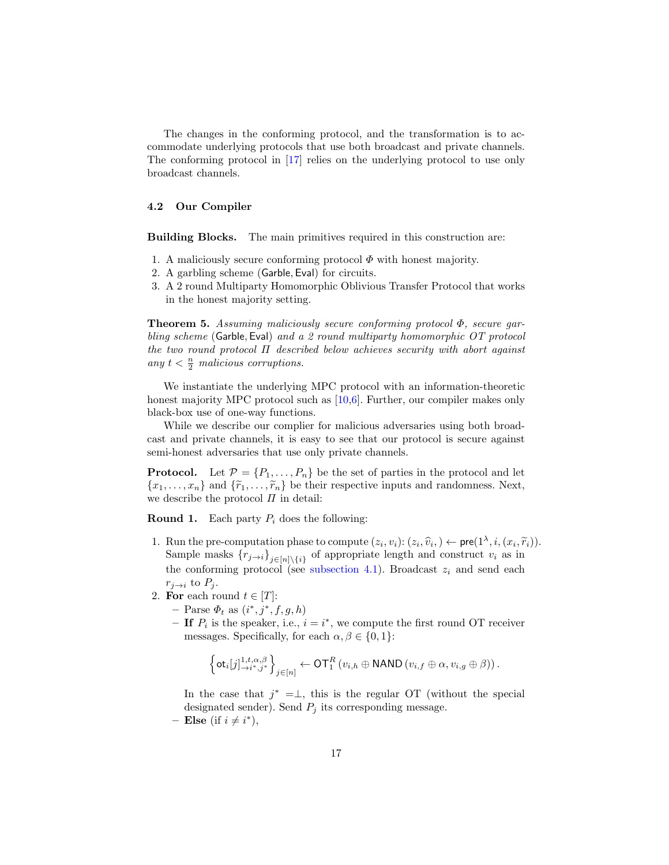The changes in the conforming protocol, and the transformation is to accommodate underlying protocols that use both broadcast and private channels. The conforming protocol in [\[17\]](#page-28-5) relies on the underlying protocol to use only broadcast channels.

### 4.2 Our Compiler

Building Blocks. The main primitives required in this construction are:

- 1. A maliciously secure conforming protocol  $\Phi$  with honest majority.
- 2. A garbling scheme (Garble, Eval) for circuits.
- 3. A 2 round Multiparty Homomorphic Oblivious Transfer Protocol that works in the honest majority setting.

<span id="page-16-0"></span>**Theorem 5.** Assuming maliciously secure conforming protocol  $\Phi$ , secure garbling scheme (Garble, Eval) and a 2 round multiparty homomorphic OT protocol the two round protocol  $\Pi$  described below achieves security with abort against any  $t < \frac{n}{2}$  malicious corruptions.

We instantiate the underlying MPC protocol with an information-theoretic honest majority MPC protocol such as [\[10,](#page-28-1)[6\]](#page-28-0). Further, our compiler makes only black-box use of one-way functions.

While we describe our complier for malicious adversaries using both broadcast and private channels, it is easy to see that our protocol is secure against semi-honest adversaries that use only private channels.

**Protocol.** Let  $\mathcal{P} = \{P_1, \ldots, P_n\}$  be the set of parties in the protocol and let  ${x_1, \ldots, x_n}$  and  ${\tilde{r}_1, \ldots, \tilde{r}_n}$  be their respective inputs and randomness. Next, we describe the protocol  $\Pi$  in detail:

**Round 1.** Each party  $P_i$  does the following:

- 1. Run the pre-computation phase to compute  $(z_i, v_i)$ :  $(z_i, \hat{v}_i) \leftarrow \text{pre}(1^{\lambda}, i, (x_i, \tilde{r}_i))$ .<br>Sample masks  $[x_i, \ldots]$  of appropriate length and construct  $v_i$  as in Sample masks  ${r_{j\to i}}_{j\in[n]\setminus\{i\}}$  of appropriate length and construct  $v_i$  as in the conforming protocol (see [subsection 4.1\)](#page-13-0). Broadcast  $z_i$  and send each  $r_{i\rightarrow i}$  to  $P_i$ .
- 2. For each round  $t \in [T]$ :
	- Parse  $\Phi_t$  as  $(i^*, j^*, f, g, h)$
	- If  $P_i$  is the speaker, i.e.,  $i = i^*$ , we compute the first round OT receiver messages. Specifically, for each  $\alpha, \beta \in \{0, 1\}$ :

$$
\left\{\text{ot}_{i}[j]_{\to i^*, j^*}^{1,t,\alpha,\beta}\right\}_{j\in [n]} \leftarrow \text{OT}_1^R\left(v_{i,h} \oplus \text{NAND}\left(v_{i,f} \oplus \alpha, v_{i,g} \oplus \beta\right)\right).
$$

In the case that  $j^* = \perp$ , this is the regular OT (without the special designated sender). Send  $P_j$  its corresponding message.

- Else (if  $i \neq i^*$ ),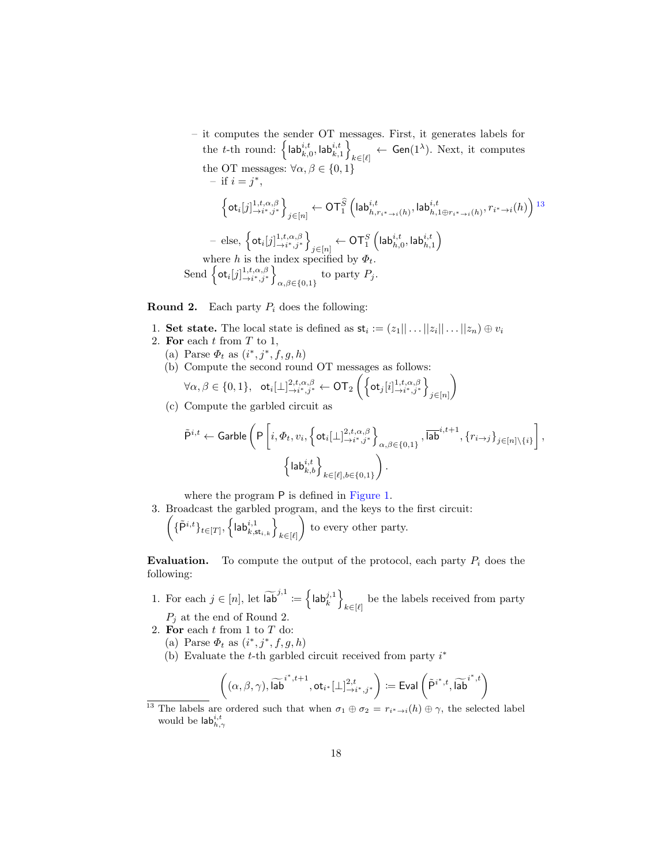– it computes the sender OT messages. First, it generates labels for the *t*-th round:  $\left\{\mathsf{lab}_{k,0}^{i,t}, \mathsf{lab}_{k,1}^{i,t}\right\}$  $\kappa \in [\ell]$  ← Gen(1<sup> $\lambda$ </sup>). Next, it computes the OT messages:  $\forall \alpha, \beta \in \{0, 1\}$  $-$  if  $i = j^*$ ,  $\left\{\mathsf{ot}_i[j]_{\rightarrow i^*,j^*}^{1,t,\alpha,\beta}\right\}$  $\phi_j\!\in\!\left[n\right]\leftarrow\mathsf{OT}_1^{\widehat{S}}\left(\mathsf{lab}_{h,r_i* \rightarrow i(h)}^{i,t},\mathsf{lab}_{h,1\oplus r_i* \rightarrow i(h)}^{i,t},r_{i^*\rightarrow i(h)}\right)^{13}.$  $\phi_j\!\in\!\left[n\right]\leftarrow\mathsf{OT}_1^{\widehat{S}}\left(\mathsf{lab}_{h,r_i* \rightarrow i(h)}^{i,t},\mathsf{lab}_{h,1\oplus r_i* \rightarrow i(h)}^{i,t},r_{i^*\rightarrow i(h)}\right)^{13}.$  $\phi_j\!\in\!\left[n\right]\leftarrow\mathsf{OT}_1^{\widehat{S}}\left(\mathsf{lab}_{h,r_i* \rightarrow i(h)}^{i,t},\mathsf{lab}_{h,1\oplus r_i* \rightarrow i(h)}^{i,t},r_{i^*\rightarrow i(h)}\right)^{13}.$  $-$  else,  $\left\{\textsf{ot}_i[j]\substack{1,t,\alpha,\beta\\ \rightarrow i^*,j^*}\right\}$  $\mathcal{j}\in [n] \leftarrow \mathsf{OT}_1^S\left(\mathsf{lab}_{h,0}^{i,t}, \mathsf{lab}_{h,1}^{i,t}\right)$ where h is the index specified by  $\Phi_t$ . Send  $\left\{\textsf{ot}_i[j]\substack{1,t,\alpha,\beta\\ \rightarrow i^*,j^*}\right\}$  $\alpha, \beta \in \{0,1\}$  to party  $P_j$ .

**Round 2.** Each party  $P_i$  does the following:

- 1. Set state. The local state is defined as  $\mathsf{st}_i := (z_1 || \dots || z_i || \dots || z_n) \oplus v_i$
- 2. For each  $t$  from  $T$  to 1,
	- (a) Parse  $\Phi_t$  as  $(i^*, j^*, f, g, h)$
	- (b) Compute the second round OT messages as follows:

$$
\forall \alpha, \beta \in \{0, 1\}, \quad \mathsf{ot}_i[\bot]^{2, t, \alpha, \beta}_{\rightarrow i^*, j^*} \leftarrow \mathsf{OT}_2 \left( \left\{ \mathsf{ot}_j[i]^{1, t, \alpha, \beta}_{\rightarrow i^*, j^*} \right\}_{j \in [n]} \right)
$$

(c) Compute the garbled circuit as

$$
\tilde{\mathsf{P}}^{i,t} \leftarrow \mathsf{Garble}\left(\mathsf{P}\left[i,\varPhi_t,v_i,\left\{\mathsf{ot}_i[\bot]^{2,t,\alpha,\beta}_{\rightarrow i^*,j^*}\right\}_{\alpha,\beta\in\{0,1\}},\overline{\mathsf{lab}}^{i,t+1},\left\{r_{i\rightarrow j}\right\}_{j\in[n]\backslash\{i\}}\right],\left\{\mathsf{lab}_{k,b}^{i,t}\right\}_{k\in[\ell],b\in\{0,1\}}\right).
$$

where the program  $P$  is defined in [Figure 1.](#page-18-0)

3. Broadcast the garbled program, and the keys to the first circuit:

 $\left(\{\tilde{\mathsf{P}}^{i,t}\}_{t\in[T]},\left\{\mathsf{lab}^{i,1}_{k,\mathsf{st}_{i,k}}\right\}_{k\in[\ell]}$ to every other party.

**Evaluation.** To compute the output of the protocol, each party  $P_i$  does the following:

1. For each  $j \in [n]$ , let  $\widetilde{\mathsf{lab}}^{j,1} := \left\{ \mathsf{lab}_k^{j,1} \right\}$  $k \in [\ell]$  be the labels received from party  $P_j$  at the end of Round 2.

2. For each  $t$  from 1 to  $T$  do:

- (a) Parse  $\Phi_t$  as  $(i^*, j^*, f, g, h)$
- (b) Evaluate the  $t$ -th garbled circuit received from party  $i^*$

$$
\left((\alpha,\beta,\gamma),\widetilde{\mathsf{lab}}^{i^*,t+1},\mathsf{ot}_{i^*}[\bot]^{2,t}_{\rightarrow i^*,j^*}\right)\coloneqq\mathsf{Eval}\left(\widetilde{\mathsf{P}}^{i^*,t},\widetilde{\mathsf{lab}}^{i^*,t}\right)
$$

<span id="page-17-0"></span><sup>&</sup>lt;sup>13</sup> The labels are ordered such that when  $\sigma_1 \oplus \sigma_2 = r_{i^* \to i}(h) \oplus \gamma$ , the selected label would be lab $_{h,\gamma}^{i,t}$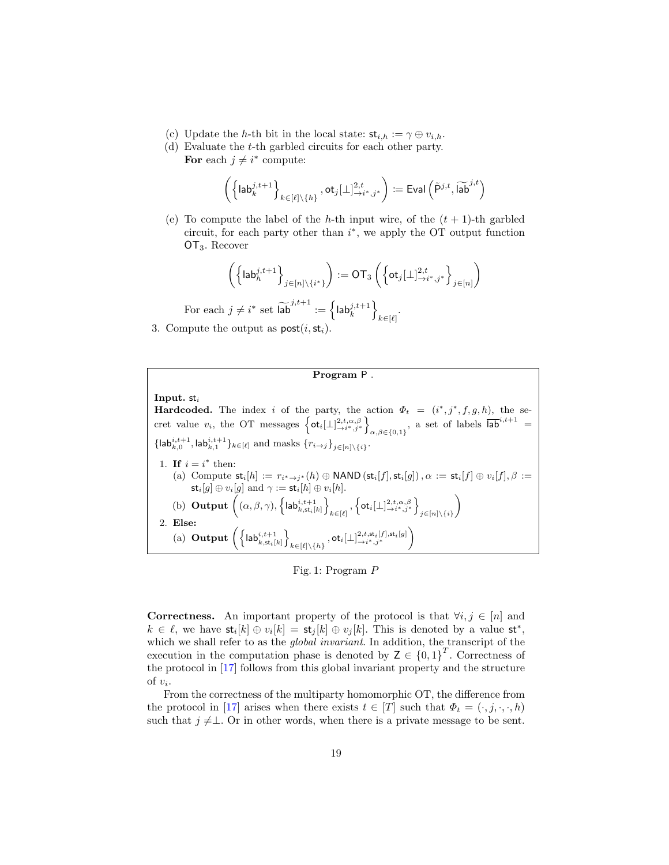- (c) Update the h-th bit in the local state:  $\mathsf{st}_{i,h} := \gamma \oplus v_{i,h}$ .
- (d) Evaluate the t-th garbled circuits for each other party. For each  $j \neq i^*$  compute:

$$
\left(\left\{\mathsf{lab}^{j,t+1}_k\right\}_{k\in[\ell]\backslash\{h\}},\mathsf{ot}_{j}[\bot]^{2,t}_{\rightarrow i^*,j^*}\right)\coloneqq\mathsf{Eval}\left(\tilde{\mathsf{P}}^{j,t},\widetilde{\mathsf{lab}}^{j,t}\right)
$$

(e) To compute the label of the h-th input wire, of the  $(t + 1)$ -th garbled circuit, for each party other than  $i^*$ , we apply the OT output function OT3. Recover

$$
\left(\left\{\mathsf{lab}^{j,t+1}_h\right\}_{j\in[n]\backslash\{i^*\}}\right):=\mathsf{OT}_3\left(\left\{\mathsf{ot}_j[\bot]^{2,t}_{\rightarrow i^*,j^*}\right\}_{j\in[n]}\right)
$$

For each 
$$
j \neq i^*
$$
 set  $\widetilde{lab}^{j,t+1} := \left\{ \textsf{lab}^{j,t+1}_k \right\}_{k \in [\ell]}$ .

3. Compute the output as  $post(i, st_i)$ .

## Program P .

<span id="page-18-0"></span>Input.  $st_i$ **Hardcoded.** The index i of the party, the action  $\Phi_t = (i^*, j^*, f, g, h)$ , the secret value  $v_i$ , the OT messages  $\left\{\textsf{ot}_i[\perp]_{\rightarrow i^*,j^*}^{2,t,\alpha,\beta}\right\}$  $\alpha, \beta \in \{0,1\}$ , a set of labels  $\overline{\mathsf{lab}}^{i,t+1} =$  $\{\mathsf{lab}_{k,0}^{i,t+1}, \mathsf{lab}_{k,1}^{i,t+1}\}_{k \in [\ell]}$  and masks  $\{r_{i \to j}\}_{j \in [n] \setminus \{i\}}$ . 1. If  $i = i^*$  then: (a) Compute  $\mathsf{st}_i[h] := r_{i^* \to j^*}(h) \oplus \mathsf{NAND}(\mathsf{st}_i[f], \mathsf{st}_i[g])$ ,  $\alpha := \mathsf{st}_i[f] \oplus v_i[f], \beta :=$  $\mathsf{st}_i[g] \oplus v_i[g]$  and  $\gamma := \mathsf{st}_i[h] \oplus v_i[h]$ . (b) **Output**  $\left((\alpha,\beta,\gamma),\left\{\mathsf{lab}_{k,\mathsf{st}_i[k]}^{i,t+1}\right\}\right)$  $\left\{ \textsf{ot}_i [\bot]^{2,t,\alpha,\beta}_{\rightarrow i^*,j^*} \right\}$  $j\in[n]\backslash\{i\}$  $\setminus$ 2. Else: (a) Output  $\left(\left\{\mathsf{lab}^{i,t+1}_{k,\mathsf{st}_i[k]}\right\}\right)$  $\kappa \in [\ell] \backslash \{h\}$  ,  $\mathtt{ot}_i[\bot]^{2,t,\mathsf{st}_i[f],\mathsf{st}_i[g]}_{\rightarrow i^*,j^*}$  $\setminus$ 

### Fig. 1: Program P

Correctness. An important property of the protocol is that  $\forall i, j \in [n]$  and  $k \in \ell$ , we have  $\mathsf{st}_i[k] \oplus v_i[k] = \mathsf{st}_j[k] \oplus v_j[k]$ . This is denoted by a value  $\mathsf{st}^*$ , which we shall refer to as the *global invariant*. In addition, the transcript of the execution in the computation phase is denoted by  $Z \in \{0,1\}^T$ . Correctness of the protocol in [\[17\]](#page-28-5) follows from this global invariant property and the structure of  $v_i$ .

From the correctness of the multiparty homomorphic OT, the difference from the protocol in [\[17\]](#page-28-5) arises when there exists  $t \in [T]$  such that  $\Phi_t = (\cdot, j, \cdot, \cdot, h)$ such that  $j \neq \perp$ . Or in other words, when there is a private message to be sent.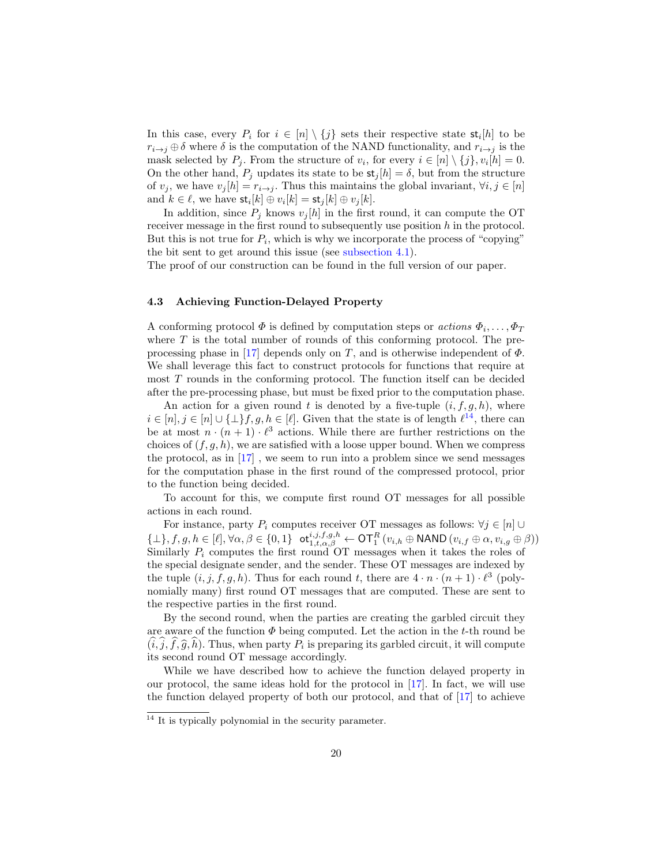In this case, every  $P_i$  for  $i \in [n] \setminus \{j\}$  sets their respective state  $\mathsf{st}_i[h]$  to be  $r_{i\rightarrow j} \oplus \delta$  where  $\delta$  is the computation of the NAND functionality, and  $r_{i\rightarrow j}$  is the mask selected by  $P_j$ . From the structure of  $v_i$ , for every  $i \in [n] \setminus \{j\}$ ,  $v_i[h] = 0$ . On the other hand,  $P_j$  updates its state to be  $\mathsf{st}_j[h] = \delta$ , but from the structure of  $v_j$ , we have  $v_j[h] = r_{i \to j}$ . Thus this maintains the global invariant,  $\forall i, j \in [n]$ and  $k \in \ell$ , we have  $\mathsf{st}_i[k] \oplus v_i[k] = \mathsf{st}_j[k] \oplus v_j[k].$ 

In addition, since  $P_j$  knows  $v_j[h]$  in the first round, it can compute the OT receiver message in the first round to subsequently use position h in the protocol. But this is not true for  $P_i$ , which is why we incorporate the process of "copying" the bit sent to get around this issue (see [subsection 4.1\)](#page-13-0).

The proof of our construction can be found in the full version of our paper.

#### <span id="page-19-1"></span>4.3 Achieving Function-Delayed Property

A conforming protocol  $\Phi$  is defined by computation steps or *actions*  $\Phi_i, \ldots, \Phi_T$ where  $T$  is the total number of rounds of this conforming protocol. The pre-processing phase in [\[17\]](#page-28-5) depends only on T, and is otherwise independent of  $\Phi$ . We shall leverage this fact to construct protocols for functions that require at most  $T$  rounds in the conforming protocol. The function itself can be decided after the pre-processing phase, but must be fixed prior to the computation phase.

An action for a given round t is denoted by a five-tuple  $(i, f, g, h)$ , where  $i \in [n], j \in [n] \cup \{\perp\}$ ,  $g, h \in [\ell]$ . Given that the state is of length  $\ell^{14}$  $\ell^{14}$  $\ell^{14}$ , there can be at most  $n \cdot (n+1) \cdot \ell^3$  actions. While there are further restrictions on the choices of  $(f, g, h)$ , we are satisfied with a loose upper bound. When we compress the protocol, as in  $[17]$ , we seem to run into a problem since we send messages for the computation phase in the first round of the compressed protocol, prior to the function being decided.

To account for this, we compute first round OT messages for all possible actions in each round.

For instance, party  $P_i$  computes receiver OT messages as follows:  $\forall j \in [n]$  ∪  $\{\bot\}, f, g, h \in [\ell], \forall \alpha, \beta \in \{0, 1\}$   $\begin{array}{l} \mathsf{ot}^{i, j, f, g, h}_{1, t, \alpha, \beta} \leftarrow \mathsf{OT}^{R}_1\left(v_{i, h} \oplus \mathsf{NAND}\left(v_{i, f} \oplus \alpha, v_{i, g} \oplus \beta\right)\right) \end{array}$ Similarly  $P_i$  computes the first round OT messages when it takes the roles of the special designate sender, and the sender. These OT messages are indexed by the tuple  $(i, j, f, g, h)$ . Thus for each round t, there are  $4 \cdot n \cdot (n+1) \cdot \ell^3$  (polynomially many) first round OT messages that are computed. These are sent to the respective parties in the first round.

By the second round, when the parties are creating the garbled circuit they are aware of the function  $\Phi$  being computed. Let the action in the t-th round be  $(i, j, f, \hat{g}, h)$ . Thus, when party  $P_i$  is preparing its garbled circuit, it will compute its second round OT message accordingly its second round OT message accordingly.

While we have described how to achieve the function delayed property in our protocol, the same ideas hold for the protocol in [\[17\]](#page-28-5). In fact, we will use the function delayed property of both our protocol, and that of [\[17\]](#page-28-5) to achieve

<span id="page-19-0"></span><sup>&</sup>lt;sup>14</sup> It is typically polynomial in the security parameter.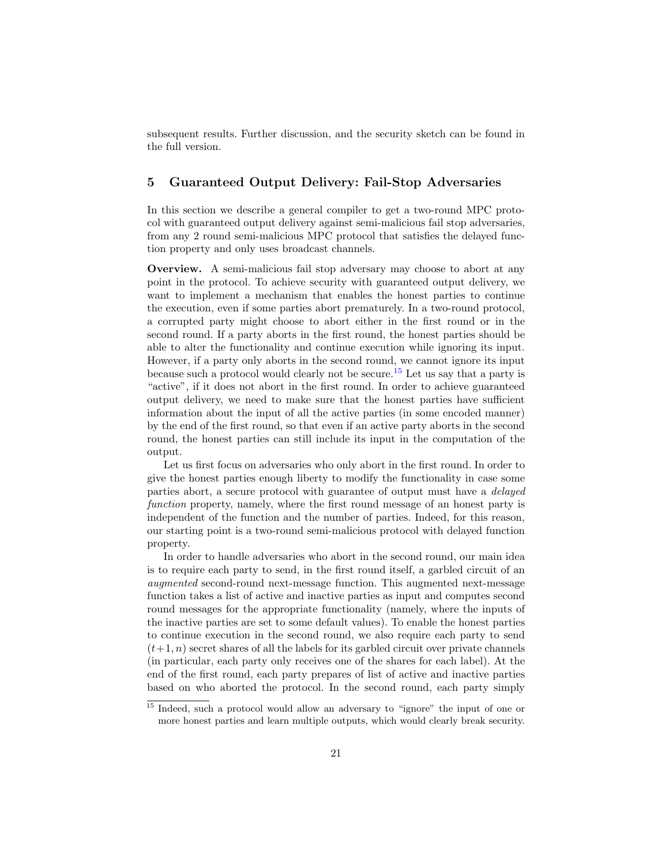subsequent results. Further discussion, and the security sketch can be found in the full version.

## <span id="page-20-0"></span>5 Guaranteed Output Delivery: Fail-Stop Adversaries

In this section we describe a general compiler to get a two-round MPC protocol with guaranteed output delivery against semi-malicious fail stop adversaries, from any 2 round semi-malicious MPC protocol that satisfies the delayed function property and only uses broadcast channels.

Overview. A semi-malicious fail stop adversary may choose to abort at any point in the protocol. To achieve security with guaranteed output delivery, we want to implement a mechanism that enables the honest parties to continue the execution, even if some parties abort prematurely. In a two-round protocol, a corrupted party might choose to abort either in the first round or in the second round. If a party aborts in the first round, the honest parties should be able to alter the functionality and continue execution while ignoring its input. However, if a party only aborts in the second round, we cannot ignore its input because such a protocol would clearly not be secure.<sup>[15](#page-20-1)</sup> Let us say that a party is "active", if it does not abort in the first round. In order to achieve guaranteed output delivery, we need to make sure that the honest parties have sufficient information about the input of all the active parties (in some encoded manner) by the end of the first round, so that even if an active party aborts in the second round, the honest parties can still include its input in the computation of the output.

Let us first focus on adversaries who only abort in the first round. In order to give the honest parties enough liberty to modify the functionality in case some parties abort, a secure protocol with guarantee of output must have a delayed function property, namely, where the first round message of an honest party is independent of the function and the number of parties. Indeed, for this reason, our starting point is a two-round semi-malicious protocol with delayed function property.

In order to handle adversaries who abort in the second round, our main idea is to require each party to send, in the first round itself, a garbled circuit of an augmented second-round next-message function. This augmented next-message function takes a list of active and inactive parties as input and computes second round messages for the appropriate functionality (namely, where the inputs of the inactive parties are set to some default values). To enable the honest parties to continue execution in the second round, we also require each party to send  $(t+1, n)$  secret shares of all the labels for its garbled circuit over private channels (in particular, each party only receives one of the shares for each label). At the end of the first round, each party prepares of list of active and inactive parties based on who aborted the protocol. In the second round, each party simply

<span id="page-20-1"></span><sup>&</sup>lt;sup>15</sup> Indeed, such a protocol would allow an adversary to "ignore" the input of one or more honest parties and learn multiple outputs, which would clearly break security.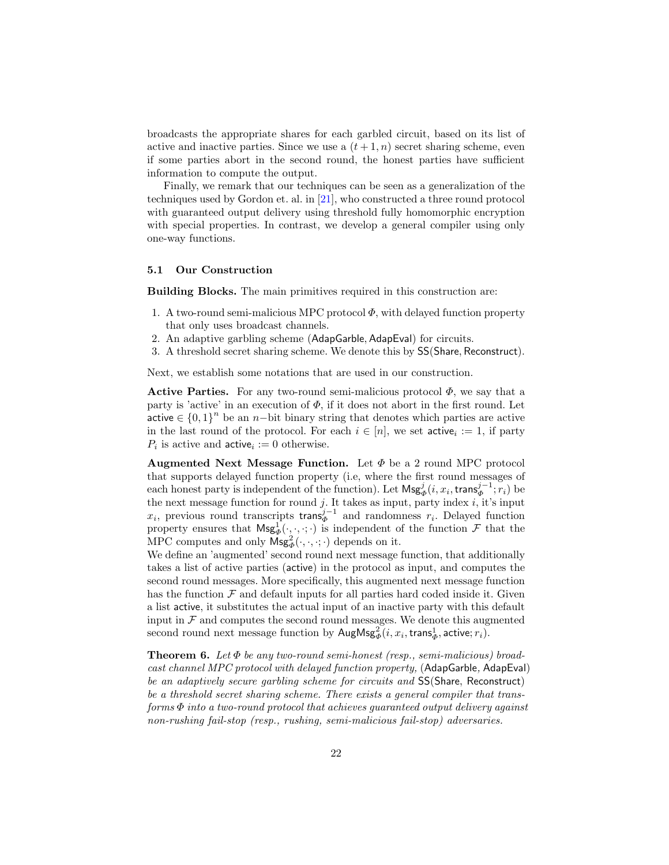broadcasts the appropriate shares for each garbled circuit, based on its list of active and inactive parties. Since we use a  $(t+1, n)$  secret sharing scheme, even if some parties abort in the second round, the honest parties have sufficient information to compute the output.

Finally, we remark that our techniques can be seen as a generalization of the techniques used by Gordon et. al. in [\[21\]](#page-29-8), who constructed a three round protocol with guaranteed output delivery using threshold fully homomorphic encryption with special properties. In contrast, we develop a general compiler using only one-way functions.

## 5.1 Our Construction

Building Blocks. The main primitives required in this construction are:

- 1. A two-round semi-malicious MPC protocol  $\Phi$ , with delayed function property that only uses broadcast channels.
- 2. An adaptive garbling scheme (AdapGarble, AdapEval) for circuits.
- 3. A threshold secret sharing scheme. We denote this by SS(Share, Reconstruct).

Next, we establish some notations that are used in our construction.

**Active Parties.** For any two-round semi-malicious protocol  $\Phi$ , we say that a party is 'active' in an execution of  $\Phi$ , if it does not abort in the first round. Let active ∈  ${0,1}^n$  be an n-bit binary string that denotes which parties are active in the last round of the protocol. For each  $i \in [n]$ , we set active<sub>i</sub> := 1, if party  $P_i$  is active and active<sub>i</sub> := 0 otherwise.

Augmented Next Message Function. Let  $\Phi$  be a 2 round MPC protocol that supports delayed function property (i.e, where the first round messages of each honest party is independent of the function). Let  $\mathsf{Msg}^j_{\Phi}(i, x_i, \mathsf{trans}^{j-1}_\Phi; r_i)$  be the next message function for round  $j$ . It takes as input, party index  $i$ , it's input  $x_i$ , previous round transcripts trans $j^{-1}$  and randomness  $r_i$ . Delayed function property ensures that  $\mathsf{Msg}_{\Phi}^{-1}(\cdot, \cdot, \cdot)$  is independent of the function  $\mathcal F$  that the MPC computes and only  $\overline{\mathsf{Msg}}_{\Phi}^2(\cdot,\cdot,\cdot;\cdot)$  depends on it.

We define an 'augmented' second round next message function, that additionally takes a list of active parties (active) in the protocol as input, and computes the second round messages. More specifically, this augmented next message function has the function  $\mathcal F$  and default inputs for all parties hard coded inside it. Given a list active, it substitutes the actual input of an inactive party with this default input in  $\mathcal F$  and computes the second round messages. We denote this augmented second round next message function by  $\mathsf{AugMsg}_\Phi^2(i, x_i, \mathsf{trans}_\Phi^1, \mathsf{active}; r_i)$ .

<span id="page-21-0"></span>**Theorem 6.** Let  $\Phi$  be any two-round semi-honest (resp., semi-malicious) broadcast channel MPC protocol with delayed function property, (AdapGarble, AdapEval) be an adaptively secure garbling scheme for circuits and SS(Share, Reconstruct) be a threshold secret sharing scheme. There exists a general compiler that trans $forms \Phi$  into a two-round protocol that achieves guaranteed output delivery against non-rushing fail-stop (resp., rushing, semi-malicious fail-stop) adversaries.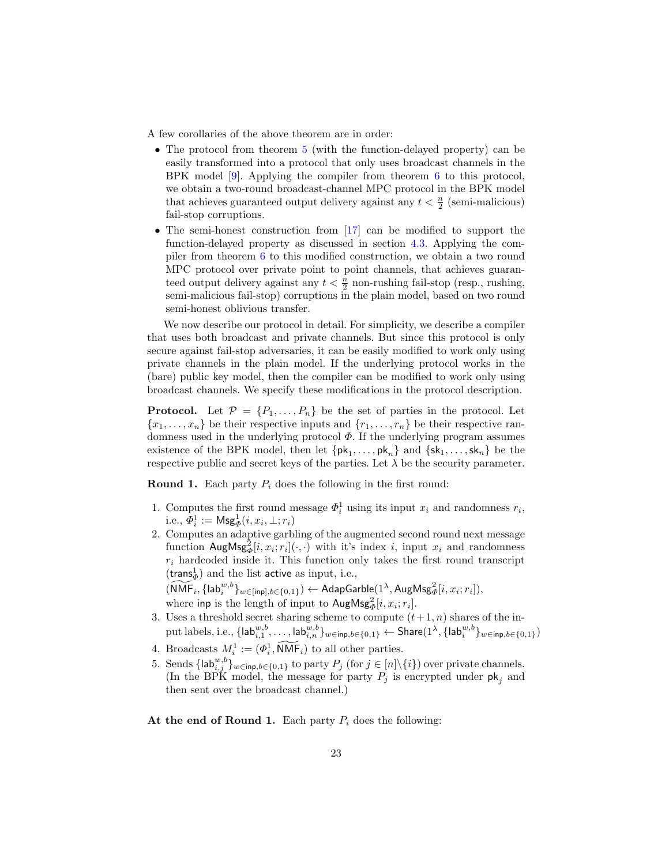A few corollaries of the above theorem are in order:

- The protocol from theorem [5](#page-16-0) (with the function-delayed property) can be easily transformed into a protocol that only uses broadcast channels in the BPK model [\[9\]](#page-28-10). Applying the compiler from theorem [6](#page-21-0) to this protocol, we obtain a two-round broadcast-channel MPC protocol in the BPK model that achieves guaranteed output delivery against any  $t < \frac{n}{2}$  (semi-malicious) fail-stop corruptions.
- The semi-honest construction from [\[17\]](#page-28-5) can be modified to support the function-delayed property as discussed in section [4.3.](#page-19-1) Applying the compiler from theorem [6](#page-21-0) to this modified construction, we obtain a two round MPC protocol over private point to point channels, that achieves guaranteed output delivery against any  $t < \frac{n}{2}$  non-rushing fail-stop (resp., rushing, semi-malicious fail-stop) corruptions in the plain model, based on two round semi-honest oblivious transfer.

We now describe our protocol in detail. For simplicity, we describe a compiler that uses both broadcast and private channels. But since this protocol is only secure against fail-stop adversaries, it can be easily modified to work only using private channels in the plain model. If the underlying protocol works in the (bare) public key model, then the compiler can be modified to work only using broadcast channels. We specify these modifications in the protocol description.

**Protocol.** Let  $\mathcal{P} = \{P_1, \ldots, P_n\}$  be the set of parties in the protocol. Let  ${x_1, \ldots, x_n}$  be their respective inputs and  ${r_1, \ldots, r_n}$  be their respective randomness used in the underlying protocol  $\Phi$ . If the underlying program assumes existence of the BPK model, then let  $\{\mathsf{pk}_1,\ldots,\mathsf{pk}_n\}$  and  $\{\mathsf{sk}_1,\ldots,\mathsf{sk}_n\}$  be the respective public and secret keys of the parties. Let  $\lambda$  be the security parameter.

**Round 1.** Each party  $P_i$  does the following in the first round:

- 1. Computes the first round message  $\Phi_i^1$  using its input  $x_i$  and randomness  $r_i$ , i.e.,  $\Phi_i^1 := \mathsf{Msg}_\Phi^1(i, x_i, \bot; r_i)$
- 2. Computes an adaptive garbling of the augmented second round next message function  $\textsf{AugMsg}_\Phi^2[i, x_i; r_i](\cdot, \cdot)$  with it's index i, input  $x_i$  and randomness  $r_i$  hardcoded inside it. This function only takes the first round transcript  $(\textsf{trans}^1_\Phi)$  and the list active as input, i.e.,

 $(\widetilde{\mathsf{NMF}}_i,\{\mathsf{lab}^{w,b}_i\}_{w\in[\mathsf{inp}],b\in\{0,1\}}) \leftarrow \mathsf{AdapGarble}(1^\lambda,\mathsf{AugMsg}_{\Phi}^2[i,x_i;r_i]),$ where inp is the length of input to  $\mathsf{AugMsg}_\Phi^2[i, x_i; r_i]$ .

- 3. Uses a threshold secret sharing scheme to compute  $(t+1, n)$  shares of the in- $\text{put labels, i.e., } \{ \mathsf{lab}_{i,1}^{w,b}, \dots, \mathsf{lab}_{i,n}^{w,b} \}_{w \in \mathsf{inp}, b \in \{0,1\}} \leftarrow \mathsf{Share}(1^\lambda, \{ \mathsf{lab}_{i}^{w,b} \}_{w \in \mathsf{inp}, b \in \{0,1\}})$
- 4. Broadcasts  $M_i^1 := (\Phi_i^1, \widetilde{\mathsf{NMF}}_i)$  to all other parties.
- 5. Sends  $\{\mathsf{lab}_{i,j}^{w,b}\}_{w\in\mathsf{inp},b\in\{0,1\}}$  to party  $P_j$  (for  $j\in[n]\setminus\{i\}$ ) over private channels. (In the BPK model, the message for party  $P_j$  is encrypted under  $\mathsf{pk}_j$  and then sent over the broadcast channel.)

At the end of Round 1. Each party  $P_i$  does the following: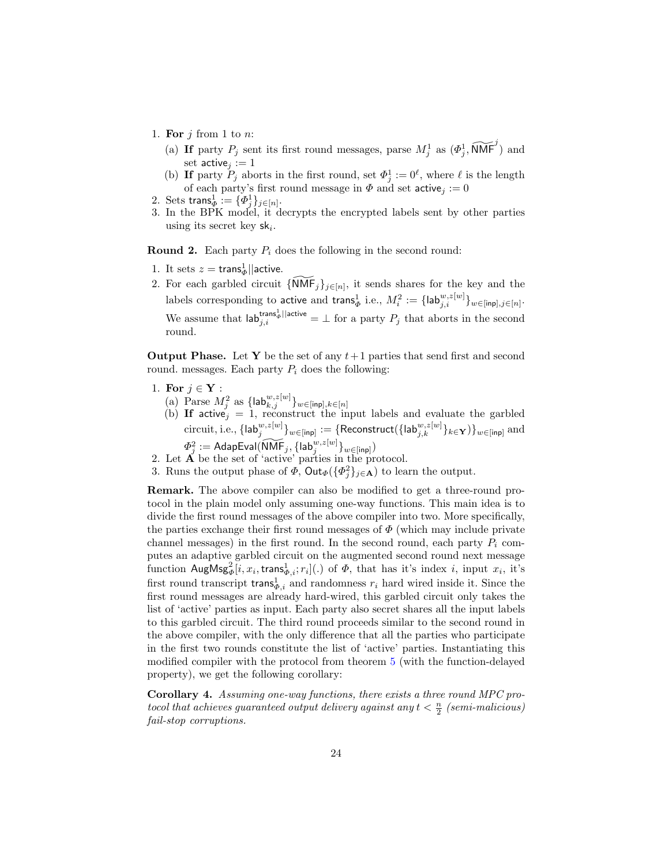- 1. For  $j$  from 1 to  $n$ :
	- (a) If party  $P_j$  sent its first round messages, parse  $M_j^1$  as  $(\Phi_j^1, \widetilde{\text{NMF}}^j)$  and set active<sub>i</sub> := 1
	- (b) If party  $P_j$  aborts in the first round, set  $\Phi_j^1 := 0^{\ell}$ , where  $\ell$  is the length of each party's first round message in  $\Phi$  and set active<sub>j</sub> := 0
- 2. Sets  $\textsf{trans}^1_{\varPhi} := \{\varPhi^1_j\}_{j\in[n]}.$
- 3. In the BPK model, it decrypts the encrypted labels sent by other parties using its secret key  $sk_i$ .

**Round 2.** Each party  $P_i$  does the following in the second round:

- 1. It sets  $z = \text{trans}_{\Phi}^1 ||$ active.
- 2. For each garbled circuit  $\{\widetilde{\mathsf{NMF}}_j\}_{j\in[n]}$ , it sends shares for the key and the labels corresponding to active and trans $\frac{1}{\varPhi}$  i.e.,  $M_i^2:=\{\mathsf{lab}_{j,i}^{w,z[w]}\}_{w\in[\mathsf{inp}],j\in[n]}$ . We assume that  $|\text{ab}_{j,i}^{\text{trans}_{\phi}^1}||^{\text{active}} = \perp$  for a party  $P_j$  that aborts in the second round.

**Output Phase.** Let Y be the set of any  $t+1$  parties that send first and second round. messages. Each party  $P_i$  does the following:

- 1. For  $j \in \mathbf{Y}$  :
	- (a) Parse  $M_j^2$  as  $\{\mathsf{lab}_{k,j}^{w,z[w]}\}_{w \in [\mathsf{inp}], k \in [n]}$
	- (b) If active<sub>j</sub> = 1, reconstruct the input labels and evaluate the garbled  $\text{circuit, i.e., }\{\mathsf{lab}_j^{w,z[w]}\}_{w\in[\mathsf{inp}]}:=\{\mathsf{Reconstruct}(\{\mathsf{lab}_{j,k}^{w,z[w]}\}_{k\in\mathbf{Y}})\}_{w\in[\mathsf{inp}]} \text{ and }$  $\Phi_j^2 := \mathsf{AdapEval}(\widetilde{\mathsf{NMF}}_j, \{\mathsf{lab}_j^{w,z[w]}\}_{w\in[\mathsf{inp}]})$
- 2. Let  $\mathbf{A}$  be the set of 'active' parties in the protocol.
- 3. Runs the output phase of  $\Phi$ ,  $\mathsf{Out}_{\Phi}(\{\Phi_j^2\}_{j\in \mathbf{A}})$  to learn the output.

Remark. The above compiler can also be modified to get a three-round protocol in the plain model only assuming one-way functions. This main idea is to divide the first round messages of the above compiler into two. More specifically, the parties exchange their first round messages of  $\Phi$  (which may include private channel messages) in the first round. In the second round, each party  $P_i$  computes an adaptive garbled circuit on the augmented second round next message function  $\textsf{AugMsg}_\Phi^2[i, x_i, \textsf{trans}_{\Phi,i}; r_i](.)$  of  $\Phi$ , that has it's index i, input  $x_i$ , it's first round transcript trans $\frac{1}{\phi}$  and randomness  $r_i$  hard wired inside it. Since the first round messages are already hard-wired, this garbled circuit only takes the list of 'active' parties as input. Each party also secret shares all the input labels to this garbled circuit. The third round proceeds similar to the second round in the above compiler, with the only difference that all the parties who participate in the first two rounds constitute the list of 'active' parties. Instantiating this modified compiler with the protocol from theorem [5](#page-16-0) (with the function-delayed property), we get the following corollary:

Corollary 4. Assuming one-way functions, there exists a three round MPC protocol that achieves guaranteed output delivery against any  $t < \frac{n}{2}$  (semi-malicious) fail-stop corruptions.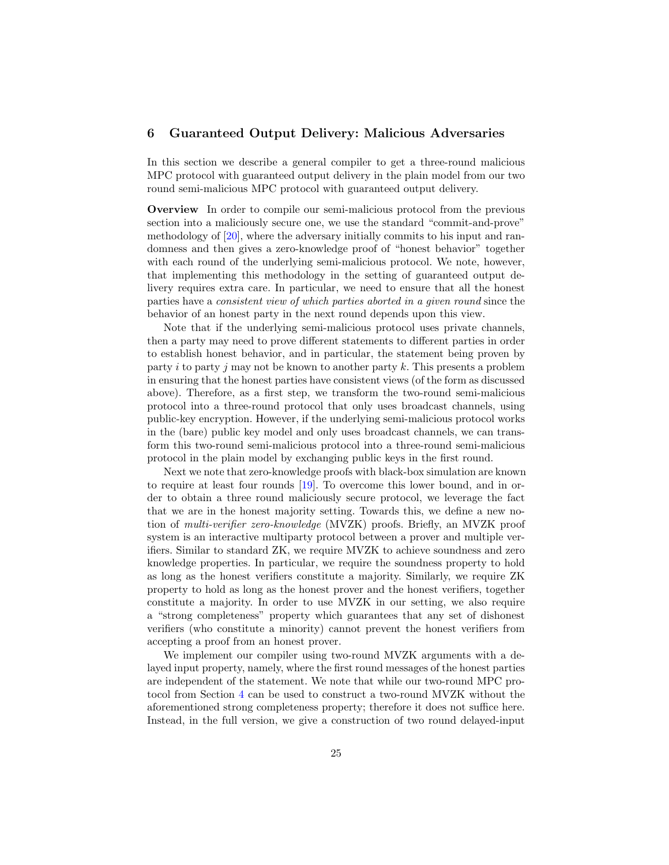## 6 Guaranteed Output Delivery: Malicious Adversaries

In this section we describe a general compiler to get a three-round malicious MPC protocol with guaranteed output delivery in the plain model from our two round semi-malicious MPC protocol with guaranteed output delivery.

Overview In order to compile our semi-malicious protocol from the previous section into a maliciously secure one, we use the standard "commit-and-prove" methodology of [\[20\]](#page-29-1), where the adversary initially commits to his input and randomness and then gives a zero-knowledge proof of "honest behavior" together with each round of the underlying semi-malicious protocol. We note, however, that implementing this methodology in the setting of guaranteed output delivery requires extra care. In particular, we need to ensure that all the honest parties have a consistent view of which parties aborted in a given round since the behavior of an honest party in the next round depends upon this view.

Note that if the underlying semi-malicious protocol uses private channels, then a party may need to prove different statements to different parties in order to establish honest behavior, and in particular, the statement being proven by party i to party j may not be known to another party  $k$ . This presents a problem in ensuring that the honest parties have consistent views (of the form as discussed above). Therefore, as a first step, we transform the two-round semi-malicious protocol into a three-round protocol that only uses broadcast channels, using public-key encryption. However, if the underlying semi-malicious protocol works in the (bare) public key model and only uses broadcast channels, we can transform this two-round semi-malicious protocol into a three-round semi-malicious protocol in the plain model by exchanging public keys in the first round.

Next we note that zero-knowledge proofs with black-box simulation are known to require at least four rounds [\[19\]](#page-28-17). To overcome this lower bound, and in order to obtain a three round maliciously secure protocol, we leverage the fact that we are in the honest majority setting. Towards this, we define a new notion of multi-verifier zero-knowledge (MVZK) proofs. Briefly, an MVZK proof system is an interactive multiparty protocol between a prover and multiple verifiers. Similar to standard ZK, we require MVZK to achieve soundness and zero knowledge properties. In particular, we require the soundness property to hold as long as the honest verifiers constitute a majority. Similarly, we require ZK property to hold as long as the honest prover and the honest verifiers, together constitute a majority. In order to use MVZK in our setting, we also require a "strong completeness" property which guarantees that any set of dishonest verifiers (who constitute a minority) cannot prevent the honest verifiers from accepting a proof from an honest prover.

We implement our compiler using two-round MVZK arguments with a delayed input property, namely, where the first round messages of the honest parties are independent of the statement. We note that while our two-round MPC protocol from Section [4](#page-10-0) can be used to construct a two-round MVZK without the aforementioned strong completeness property; therefore it does not suffice here. Instead, in the full version, we give a construction of two round delayed-input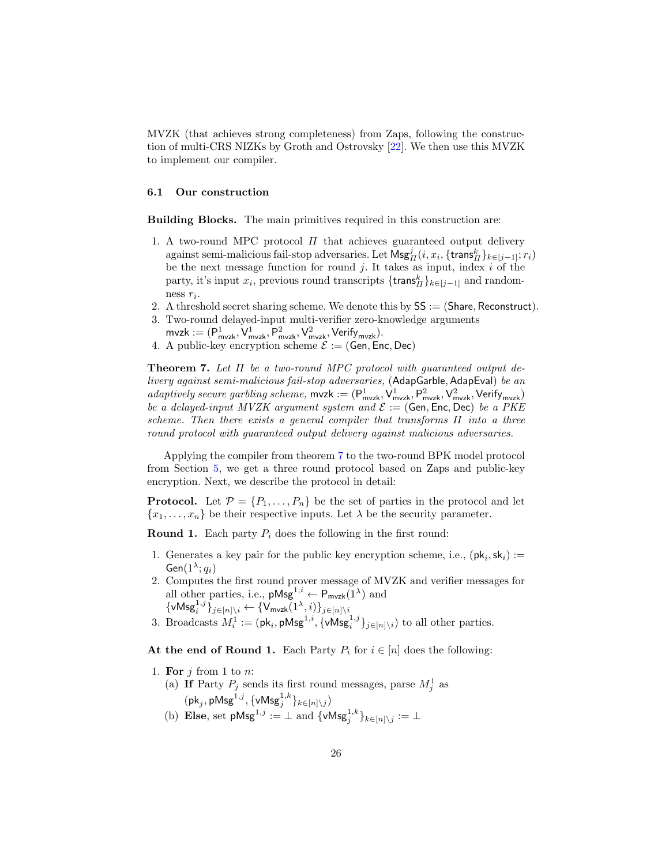MVZK (that achieves strong completeness) from Zaps, following the construction of multi-CRS NIZKs by Groth and Ostrovsky [\[22\]](#page-29-9). We then use this MVZK to implement our compiler.

### 6.1 Our construction

Building Blocks. The main primitives required in this construction are:

- 1. A two-round MPC protocol  $\Pi$  that achieves guaranteed output delivery against semi-malicious fail-stop adversaries. Let  $\widecheck{\mathsf{Msg}}^j_{\varPi}(i, x_i, \{\mathsf{trans}^k_{\varPi}\}_{k \in [j-1]}; r_i)$ be the next message function for round  $j$ . It takes as input, index  $i$  of the party, it's input  $x_i$ , previous round transcripts  $\{\text{trans}^k_{II}\}_{k\in[j-1]}$  and randomness  $r_i$ .
- 2. A threshold secret sharing scheme. We denote this by SS := (Share, Reconstruct).
- 3. Two-round delayed-input multi-verifier zero-knowledge arguments  ${\sf m}$ vzk : $= (P^1_{\sf m}$ vzk,  $V^1_{\sf m}$ vzk,  $P^2_{\sf m}$ vzk,  $V^2_{\sf m}$ vzk, Verify $_{\sf m}$ vzk).
- 4. A public-key encryption scheme  $\mathcal{E} := (Gen, Enc, Dec)$

<span id="page-25-0"></span>Theorem 7. Let Π be a two-round MPC protocol with guaranteed output delivery against semi-malicious fail-stop adversaries, (AdapGarble, AdapEval) be an *adaptively secure garbling scheme,*  $m\nu zk := (P_{m\nu zk}^1, V_{m\nu zk}^1, P_{m\nu zk}^2, V_{m\nu zk}^2, V_{m\nu zk}^2,$ Verify<sub>mvzk</sub>) be a delayed-input MVZK argument system and  $\mathcal{E} := (\mathsf{Gen}, \mathsf{Enc}, \mathsf{Dec})$  be a PKE scheme. Then there exists a general compiler that transforms  $\Pi$  into a three round protocol with guaranteed output delivery against malicious adversaries.

Applying the compiler from theorem [7](#page-25-0) to the two-round BPK model protocol from Section [5,](#page-20-0) we get a three round protocol based on Zaps and public-key encryption. Next, we describe the protocol in detail:

**Protocol.** Let  $\mathcal{P} = \{P_1, \ldots, P_n\}$  be the set of parties in the protocol and let  ${x_1, \ldots, x_n}$  be their respective inputs. Let  $\lambda$  be the security parameter.

**Round 1.** Each party  $P_i$  does the following in the first round:

- 1. Generates a key pair for the public key encryption scheme, i.e.,  $(\mathsf{pk}_i, \mathsf{sk}_i) :=$  $\mathsf{Gen}(1^{\lambda};q_i)$
- 2. Computes the first round prover message of MVZK and verifier messages for all other parties, i.e.,  $pMsg^{1,i} \leftarrow P_{\text{mvzk}}(1^{\lambda})$  and  $\{\mathsf{vMsg}_i^{1,j}\}_{j\in[n]\setminus i} \leftarrow \{\mathsf{V_{\sf mvzk}}(1^\lambda,i)\}_{j\in[n]\setminus i}$
- 3. Broadcasts  $M_i^1 := (\mathsf{pk}_i, \mathsf{pMsg}^{1,i}, \{\mathsf{vMsg}^{1,j}\}_{j \in [n] \setminus i})$  to all other parties.

### At the end of Round 1. Each Party  $P_i$  for  $i \in [n]$  does the following:

- 1. For  $j$  from 1 to  $n$ :
	- (a) If Party  $P_j$  sends its first round messages, parse  $M_j^1$  as  $({\sf pk}_j, {\sf pMsg}^{1,j}, \{{\sf vMsg}_j^{1,k}\}_{k\in [n]\setminus j})$
	- (b) Else, set  $pMsg^{1,j} := \perp$  and  $\{vMsg^{1,k}_j\}_{k \in [n] \setminus j} := \perp$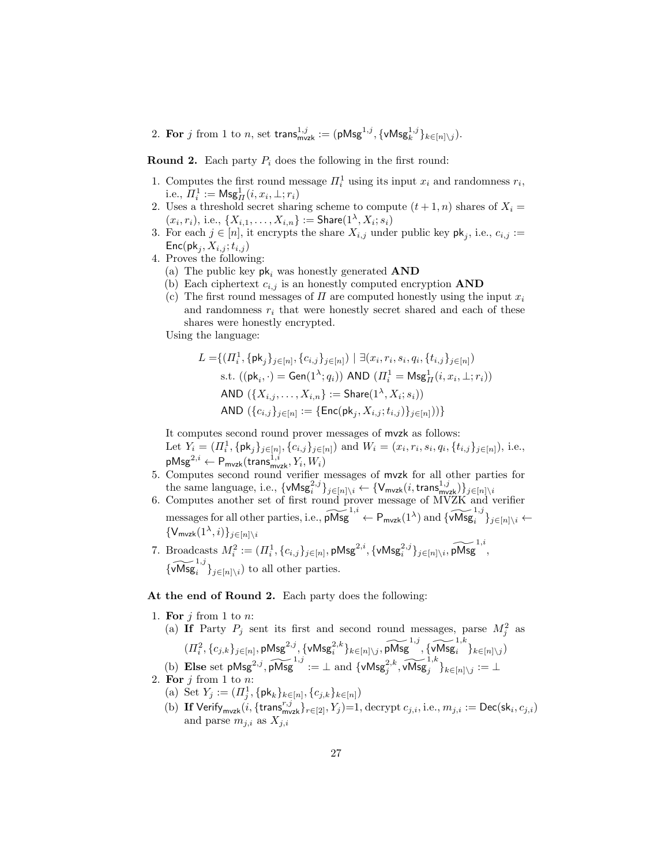2. For  $j$  from 1 to  $n$ , set trans ${}^{1,j}_{\mathsf{mvzk}} := (\mathsf{p} \mathsf{Msg}^{1,j}, \{\mathsf{v} \mathsf{Msg}^{1,j}_k\}_{k \in [n] \setminus j}).$ 

**Round 2.** Each party  $P_i$  does the following in the first round:

- 1. Computes the first round message  $\Pi_i^1$  using its input  $x_i$  and randomness  $r_i$ , i.e.,  $\bar{\Pi}_i^1 := \mathsf{Msg}^1_{\bar{\Pi}}(i, x_i, \bot; r_i)$
- 2. Uses a threshold secret sharing scheme to compute  $(t+1, n)$  shares of  $X_i =$  $(x_i, r_i)$ , i.e.,  $\{X_{i,1}, \ldots, X_{i,n}\} :=$  Share $(1^{\lambda}, X_i; s_i)$
- 3. For each  $j \in [n]$ , it encrypts the share  $X_{i,j}$  under public key  $\mathsf{pk}_j$ , i.e.,  $c_{i,j} :=$  $\mathsf{Enc}(\mathsf{pk}_j,X_{i,j};t_{i,j})$
- 4. Proves the following:
	- (a) The public key  $\mathsf{pk}_i$  was honestly generated **AND**
	- (b) Each ciphertext  $c_{i,j}$  is an honestly computed encryption **AND**
	- (c) The first round messages of  $\Pi$  are computed honestly using the input  $x_i$ and randomness  $r_i$  that were honestly secret shared and each of these shares were honestly encrypted.

Using the language:

$$
L = \{ (H_i^1, \{ \mathsf{pk}_j \}_{j \in [n]}, \{ c_{i,j} \}_{j \in [n]} ) \mid \exists (x_i, r_i, s_i, q_i, \{ t_{i,j} \}_{j \in [n]} )
$$
  
s.t. 
$$
((\mathsf{pk}_i, \cdot) = \mathsf{Gen}(1^{\lambda}; q_i)) \text{ AND } (H_i^1 = \mathsf{Msg}_H^1(i, x_i, \bot; r_i))
$$
  
AND 
$$
(\{ X_{i,j}, \ldots, X_{i,n} \} := \mathsf{Share}(1^{\lambda}, X_i; s_i))
$$
  
AND 
$$
(\{ c_{i,j} \}_{j \in [n]} := \{ \mathsf{Enc}(\mathsf{pk}_j, X_{i,j}; t_{i,j}) \}_{j \in [n]})) \}
$$

It computes second round prover messages of mvzk as follows: Let  $Y_i = (H_i^1, \{\mathsf{pk}_j\}_{j \in [n]}, \{c_{i,j}\}_{j \in [n]})$  and  $W_i = (x_i, r_i, s_i, q_i, \{t_{i,j}\}_{j \in [n]})$ , i.e.,  $\tt pMsg^{2,i} \leftarrow P_{\sf mvzk}(\mathsf{trans}_{\sf mvzk}^{1,i}, Y_i, W_i)$ 

5. Computes second round verifier messages of mvzk for all other parties for the same language, i.e.,  $\{\mathsf{vMsg}^{2,j}_i\}_{j\in[n]\setminus i} \gets \{\mathsf{V}_{\mathsf{mvzk}}(i, \mathsf{trans}^{1,j}_{\mathsf{mvzk}})\}_{j\in[n]\setminus i}$ 

6. Computes another set of first round prover message of MVZK and verifier messages for all other parties, i.e.,  $\widetilde{pMsg}^{1,i}_i \leftarrow P_{\sf mvzk}(1^{\lambda})$  and  $\{\widetilde{vMsg}^{1,j}_i\}_{j \in [n]\setminus i} \leftarrow$  $\{V_{\sf mvzk}(1^{\lambda},i)\}_{j\in[n]\setminus i}$ 

7. Broadcasts  $M_i^2 := ( \varPi_i^1, \{c_{i,j}\}_{j \in [n]}, \mathsf{pMsg}^{2,i}, \{\mathsf{vMsg}^{2,j}_i\}_{j \in [n] \setminus i}, \widetilde{\mathsf{pMsg}}^{1,i},$  $\{\widetilde{\mathsf{vMsg}}_i^{1,j}\}_{j\in[n]\setminus i}$  to all other parties.

## At the end of Round 2. Each party does the following:

1. For j from 1 to n:

(a) If Party  $P_j$  sent its first and second round messages, parse  $M_j^2$  as  $(\varPi_i^2,\{c_{j,k}\}_{j\in[n]},\mathsf{pMsg}^{2,j},\{\mathsf{vMsg}_i^{2,k}\}_{k\in[n]\backslash{j}},\widetilde{\mathsf{pMsg}}^{1,j},\{\widetilde{\mathsf{vMsg}}_i^{1,k}\}_{k\in[n]\backslash{j}})$ (b) Else set  $p\mathsf{Msg}^{2,j}, \widetilde{p\mathsf{Msg}}^{1,j} := \bot$  and  $\{v\mathsf{Msg}^{2,k}_j, \widetilde{v\mathsf{Msg}}^{1,k}_j\}_{k\in[n]\setminus j} := \bot$ 

- 2. For  $j$  from 1 to  $n$ :
	- (a) Set  $Y_j := (H_j^1, \{\mathsf{pk}_k\}_{k \in [n]}, \{c_{j,k}\}_{k \in [n]})$
	- (b) If  $\mathsf{Verify}_{\mathsf{mvzk}}(i, \{\mathsf{trans}^{r,j}_{\mathsf{mvzk}}\}_{r \in [2]}, Y_j) = 1, \text{ decrypt } c_{j,i}, \text{i.e., } m_{j,i} := \mathsf{Dec}(\mathsf{sk}_i, c_{j,i})$ and parse  $m_{j,i}$  as  $X_{j,i}$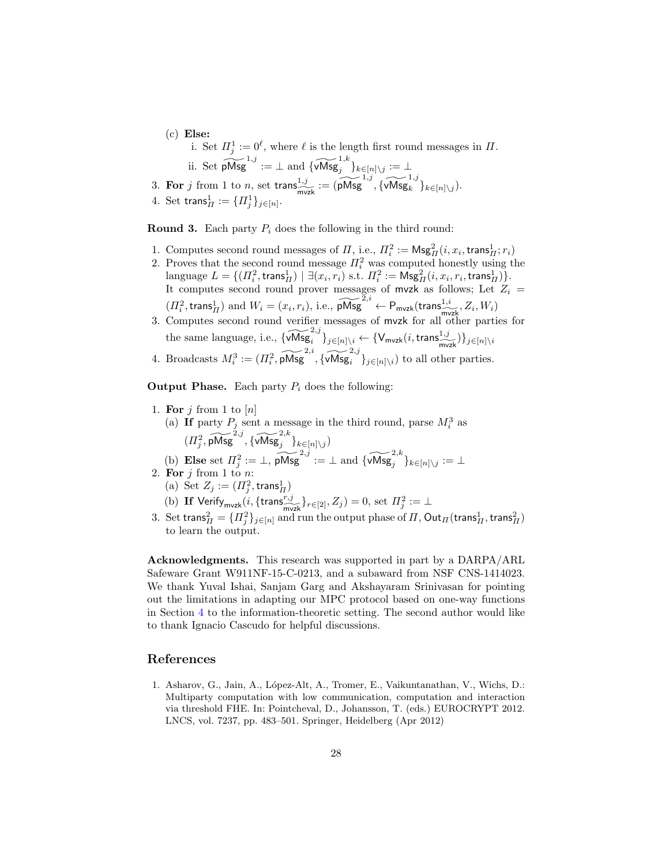- (c) Else:
	- i. Set  $\Pi_j^1 := 0^{\ell}$ , where  $\ell$  is the length first round messages in  $\Pi$ . ii. Set  $\widetilde{\mathsf{pMsg}}^{1,j} := \bot$  and  $\{\widetilde{\mathsf{vMsg}}^{1,k}_j\}_{k \in [n] \setminus j} := \bot$
- 3. For j from 1 to n, set trans  $\overline{\text{myzk}} := (\widetilde{\text{pMsg}}^{1,j}, {\widetilde{\text{wMsg}}^{1,j}_k}_{k \in [n] \setminus j}).$
- 4. Set trans $_{\Pi}^{1} := \{ \Pi_{j}^{1} \}_{j \in [n]}.$

**Round 3.** Each party  $P_i$  does the following in the third round:

- 1. Computes second round messages of  $\Pi$ , i.e.,  $\Pi_i^2 := \mathsf{Msg}_\Pi^2(i, x_i, \mathsf{trans}_\Pi^1; r_i)$
- 2. Proves that the second round message  $\prod_i^2$  was computed honestly using the language  $L = \{(\Pi_i^2, \text{trans}_\Pi^1) \mid \exists (x_i, r_i) \text{ s.t. } \Pi_i^2 := \textsf{Msg}_\Pi^2(i, x_i, r_i, \textsf{trans}_\Pi^1)\}.$ It computes second round prover messages of mvzk as follows; Let  $Z_i =$  $(\Pi_i^2, \text{trans}_H^1)$  and  $W_i = (x_i, r_i)$ , i.e.,  $\widetilde{\text{pMsg}}^{2,i} \leftarrow \mathsf{P}_{\text{mvzk}}(\text{trans}_{\text{mvzk}}^{1,i}, Z_i, W_i)$
- 3. Computes second round verifier messages of mvzk for all other parties for the same language, i.e.,  $\{\widetilde{{\mathsf{vMsg}}}_i^{\mathbf{2},j}\}_{j\in[n]\setminus i} \leftarrow \{\mathsf{V}_{\mathsf{mvzk}}(i,\mathsf{trans}_{\widetilde{\mathsf{mvzk}}}^{\mathbf{1},j})\}_{j\in[n]\setminus i}$
- 4. Broadcasts  $M_i^3 := (H_i^2, \widetilde{\text{pMsg}}^{2,i}, {\widetilde{\text{vMsg}}^{2,j}_i}_{\mathcal{E}[n]\setminus i})$  to all other parties.

**Output Phase.** Each party  $P_i$  does the following:

- 1. For j from 1 to  $[n]$ (a) If party  $P_j$  sent a message in the third round, parse  $M_i^3$  as  $(\varPi_j^2, \widetilde{{\sf pMsg}}^{2,j}, \{\widetilde{{\sf vMsg}}^{2,k}_j\}_{k\in [n]\setminus j})$ 
	- (b) Else set  $\Pi_j^2 := \bot$ ,  $\widetilde{\text{pMsg}}^{2,j} := \bot$  and  $\{\widetilde{\text{vMsg}}^{2,k}_j\}_{k \in [n] \setminus j} := \bot$
- 2. For  $j$  from 1 to  $n$ :
	- (a) Set  $Z_j := (\Pi_j^2, \text{trans}_\Pi^1)$
	- (b) If  $\text{Verify}_{\text{mvzk}}(i, {\text{trans}}^{r,j}_{\text{mvzk}}\}_{r \in [2]}, Z_j) = 0$ , set  $\Pi_j^2 := \bot$
- 3. Set trans $^2_H = \{ \varPi^2_j\}_{j \in [n]}$  and run the output phase of  $\varPi,$   $\mathsf{Out}_\varPi(\mathsf{trans}^1_\varPi,\mathsf{trans}^2_\varPi)$ to learn the output.

Acknowledgments. This research was supported in part by a DARPA/ARL Safeware Grant W911NF-15-C-0213, and a subaward from NSF CNS-1414023. We thank Yuval Ishai, Sanjam Garg and Akshayaram Srinivasan for pointing out the limitations in adapting our MPC protocol based on one-way functions in Section [4](#page-10-0) to the information-theoretic setting. The second author would like to thank Ignacio Cascudo for helpful discussions.

## References

<span id="page-27-0"></span>1. Asharov, G., Jain, A., López-Alt, A., Tromer, E., Vaikuntanathan, V., Wichs, D.: Multiparty computation with low communication, computation and interaction via threshold FHE. In: Pointcheval, D., Johansson, T. (eds.) EUROCRYPT 2012. LNCS, vol. 7237, pp. 483–501. Springer, Heidelberg (Apr 2012)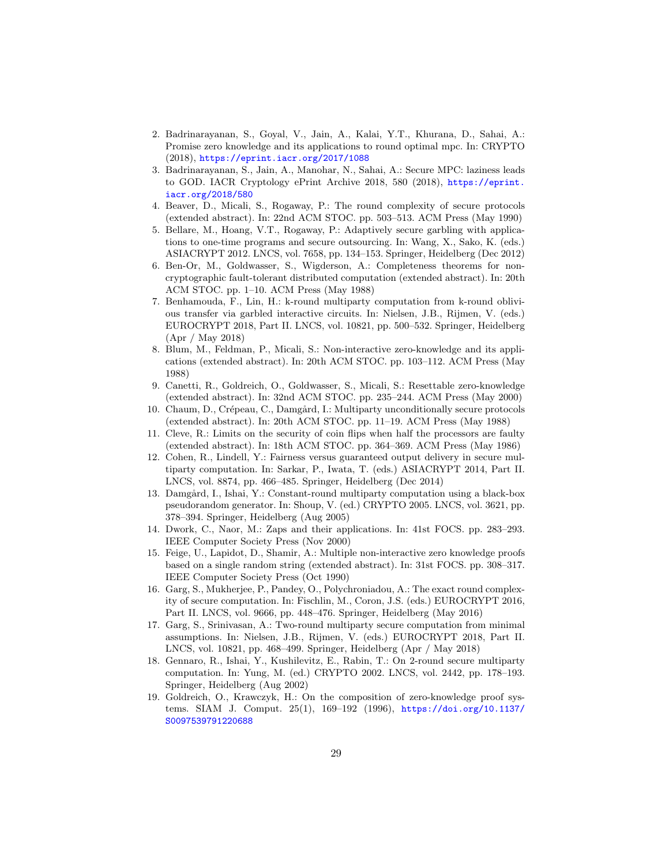- <span id="page-28-13"></span>2. Badrinarayanan, S., Goyal, V., Jain, A., Kalai, Y.T., Khurana, D., Sahai, A.: Promise zero knowledge and its applications to round optimal mpc. In: CRYPTO (2018), <https://eprint.iacr.org/2017/1088>
- <span id="page-28-12"></span>3. Badrinarayanan, S., Jain, A., Manohar, N., Sahai, A.: Secure MPC: laziness leads to GOD. IACR Cryptology ePrint Archive 2018, 580 (2018), [https://eprint.](https://eprint.iacr.org/2018/580) [iacr.org/2018/580](https://eprint.iacr.org/2018/580)
- <span id="page-28-14"></span>4. Beaver, D., Micali, S., Rogaway, P.: The round complexity of secure protocols (extended abstract). In: 22nd ACM STOC. pp. 503–513. ACM Press (May 1990)
- <span id="page-28-16"></span>5. Bellare, M., Hoang, V.T., Rogaway, P.: Adaptively secure garbling with applications to one-time programs and secure outsourcing. In: Wang, X., Sako, K. (eds.) ASIACRYPT 2012. LNCS, vol. 7658, pp. 134–153. Springer, Heidelberg (Dec 2012)
- <span id="page-28-0"></span>6. Ben-Or, M., Goldwasser, S., Wigderson, A.: Completeness theorems for noncryptographic fault-tolerant distributed computation (extended abstract). In: 20th ACM STOC. pp. 1–10. ACM Press (May 1988)
- <span id="page-28-6"></span>7. Benhamouda, F., Lin, H.: k-round multiparty computation from k-round oblivious transfer via garbled interactive circuits. In: Nielsen, J.B., Rijmen, V. (eds.) EUROCRYPT 2018, Part II. LNCS, vol. 10821, pp. 500–532. Springer, Heidelberg (Apr / May 2018)
- <span id="page-28-8"></span>8. Blum, M., Feldman, P., Micali, S.: Non-interactive zero-knowledge and its applications (extended abstract). In: 20th ACM STOC. pp. 103–112. ACM Press (May 1988)
- <span id="page-28-10"></span>9. Canetti, R., Goldreich, O., Goldwasser, S., Micali, S.: Resettable zero-knowledge (extended abstract). In: 32nd ACM STOC. pp. 235–244. ACM Press (May 2000)
- <span id="page-28-1"></span>10. Chaum, D., Crépeau, C., Damgård, I.: Multiparty unconditionally secure protocols (extended abstract). In: 20th ACM STOC. pp. 11–19. ACM Press (May 1988)
- <span id="page-28-3"></span>11. Cleve, R.: Limits on the security of coin flips when half the processors are faulty (extended abstract). In: 18th ACM STOC. pp. 364–369. ACM Press (May 1986)
- <span id="page-28-4"></span>12. Cohen, R., Lindell, Y.: Fairness versus guaranteed output delivery in secure multiparty computation. In: Sarkar, P., Iwata, T. (eds.) ASIACRYPT 2014, Part II. LNCS, vol. 8874, pp. 466–485. Springer, Heidelberg (Dec 2014)
- <span id="page-28-15"></span>13. Damgård, I., Ishai, Y.: Constant-round multiparty computation using a black-box pseudorandom generator. In: Shoup, V. (ed.) CRYPTO 2005. LNCS, vol. 3621, pp. 378–394. Springer, Heidelberg (Aug 2005)
- <span id="page-28-11"></span>14. Dwork, C., Naor, M.: Zaps and their applications. In: 41st FOCS. pp. 283–293. IEEE Computer Society Press (Nov 2000)
- <span id="page-28-9"></span>15. Feige, U., Lapidot, D., Shamir, A.: Multiple non-interactive zero knowledge proofs based on a single random string (extended abstract). In: 31st FOCS. pp. 308–317. IEEE Computer Society Press (Oct 1990)
- <span id="page-28-2"></span>16. Garg, S., Mukherjee, P., Pandey, O., Polychroniadou, A.: The exact round complexity of secure computation. In: Fischlin, M., Coron, J.S. (eds.) EUROCRYPT 2016, Part II. LNCS, vol. 9666, pp. 448–476. Springer, Heidelberg (May 2016)
- <span id="page-28-5"></span>17. Garg, S., Srinivasan, A.: Two-round multiparty secure computation from minimal assumptions. In: Nielsen, J.B., Rijmen, V. (eds.) EUROCRYPT 2018, Part II. LNCS, vol. 10821, pp. 468–499. Springer, Heidelberg (Apr / May 2018)
- <span id="page-28-7"></span>18. Gennaro, R., Ishai, Y., Kushilevitz, E., Rabin, T.: On 2-round secure multiparty computation. In: Yung, M. (ed.) CRYPTO 2002. LNCS, vol. 2442, pp. 178–193. Springer, Heidelberg (Aug 2002)
- <span id="page-28-17"></span>19. Goldreich, O., Krawczyk, H.: On the composition of zero-knowledge proof systems. SIAM J. Comput. 25(1), 169–192 (1996), [https://doi.org/10.1137/](https://doi.org/10.1137/S0097539791220688) [S0097539791220688](https://doi.org/10.1137/S0097539791220688)